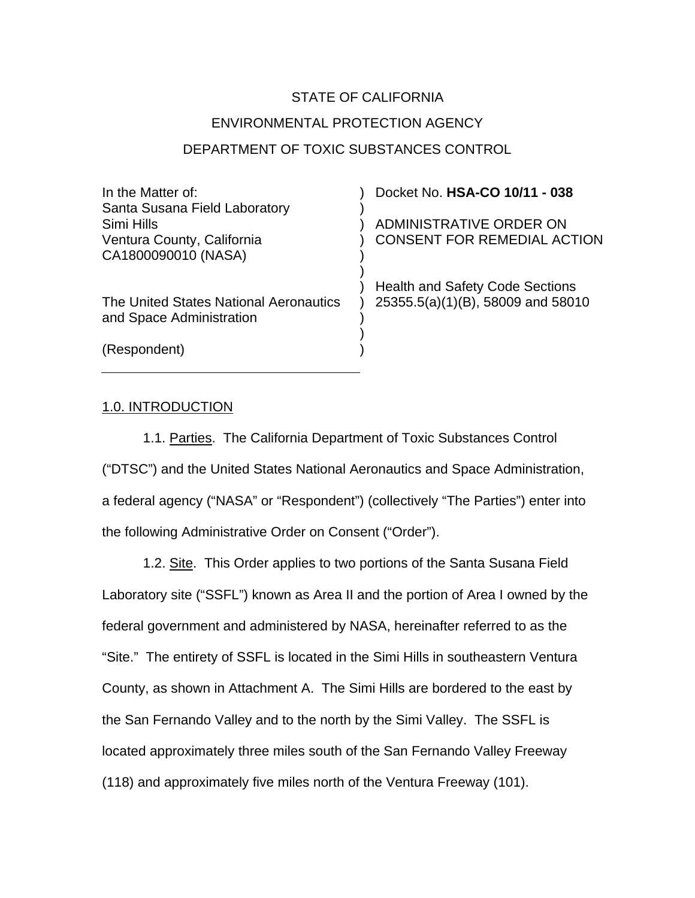# STATE OF CALIFORNIA ENVIRONMENTAL PROTECTION AGENCY DEPARTMENT OF TOXIC SUBSTANCES CONTROL

| In the Matter of:                      | Docket No. HSA-CO 10/11 - 038          |
|----------------------------------------|----------------------------------------|
| Santa Susana Field Laboratory          |                                        |
| Simi Hills                             | ADMINISTRATIVE ORDER ON                |
| Ventura County, California             | <b>CONSENT FOR REMEDIAL ACTION</b>     |
| CA1800090010 (NASA)                    |                                        |
|                                        |                                        |
|                                        | <b>Health and Safety Code Sections</b> |
| The United States National Aeronautics | 25355.5(a)(1)(B), 58009 and 58010      |
| and Space Administration               |                                        |
|                                        |                                        |
| (Respondent)                           |                                        |
|                                        |                                        |

## 1.0. INTRODUCTION

 1.1. Parties. The California Department of Toxic Substances Control ("DTSC") and the United States National Aeronautics and Space Administration, a federal agency ("NASA" or "Respondent") (collectively "The Parties") enter into the following Administrative Order on Consent ("Order").

1.2. Site. This Order applies to two portions of the Santa Susana Field Laboratory site ("SSFL") known as Area II and the portion of Area I owned by the federal government and administered by NASA, hereinafter referred to as the "Site." The entirety of SSFL is located in the Simi Hills in southeastern Ventura County, as shown in Attachment A. The Simi Hills are bordered to the east by the San Fernando Valley and to the north by the Simi Valley. The SSFL is located approximately three miles south of the San Fernando Valley Freeway (118) and approximately five miles north of the Ventura Freeway (101).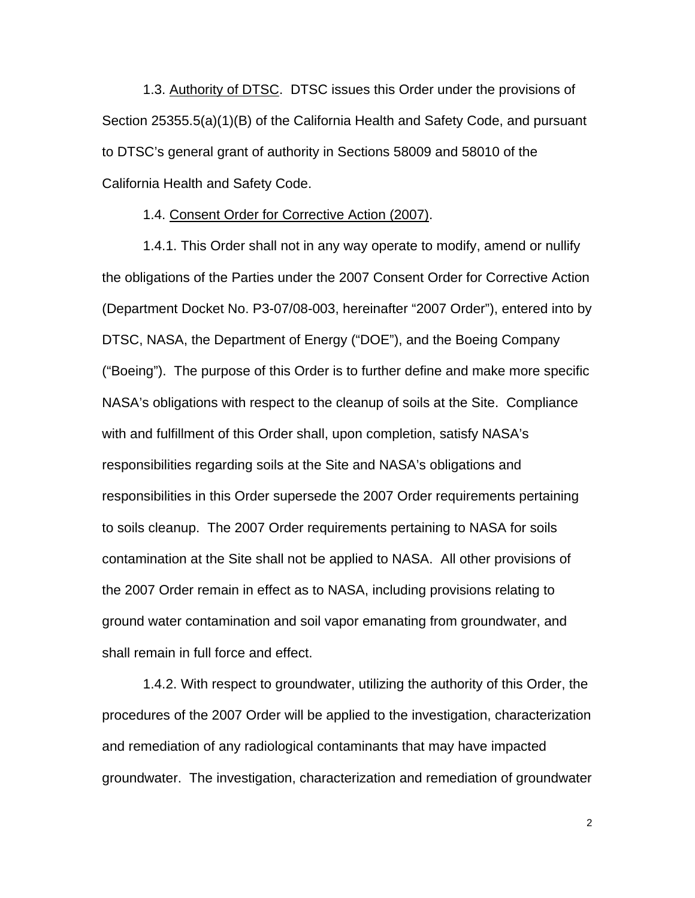1.3. Authority of DTSC. DTSC issues this Order under the provisions of Section 25355.5(a)(1)(B) of the California Health and Safety Code, and pursuant to DTSC's general grant of authority in Sections 58009 and 58010 of the California Health and Safety Code.

#### 1.4. Consent Order for Corrective Action (2007).

1.4.1. This Order shall not in any way operate to modify, amend or nullify the obligations of the Parties under the 2007 Consent Order for Corrective Action (Department Docket No. P3-07/08-003, hereinafter "2007 Order"), entered into by DTSC, NASA, the Department of Energy ("DOE"), and the Boeing Company ("Boeing"). The purpose of this Order is to further define and make more specific NASA's obligations with respect to the cleanup of soils at the Site. Compliance with and fulfillment of this Order shall, upon completion, satisfy NASA's responsibilities regarding soils at the Site and NASA's obligations and responsibilities in this Order supersede the 2007 Order requirements pertaining to soils cleanup. The 2007 Order requirements pertaining to NASA for soils contamination at the Site shall not be applied to NASA. All other provisions of the 2007 Order remain in effect as to NASA, including provisions relating to ground water contamination and soil vapor emanating from groundwater, and shall remain in full force and effect.

1.4.2. With respect to groundwater, utilizing the authority of this Order, the procedures of the 2007 Order will be applied to the investigation, characterization and remediation of any radiological contaminants that may have impacted groundwater. The investigation, characterization and remediation of groundwater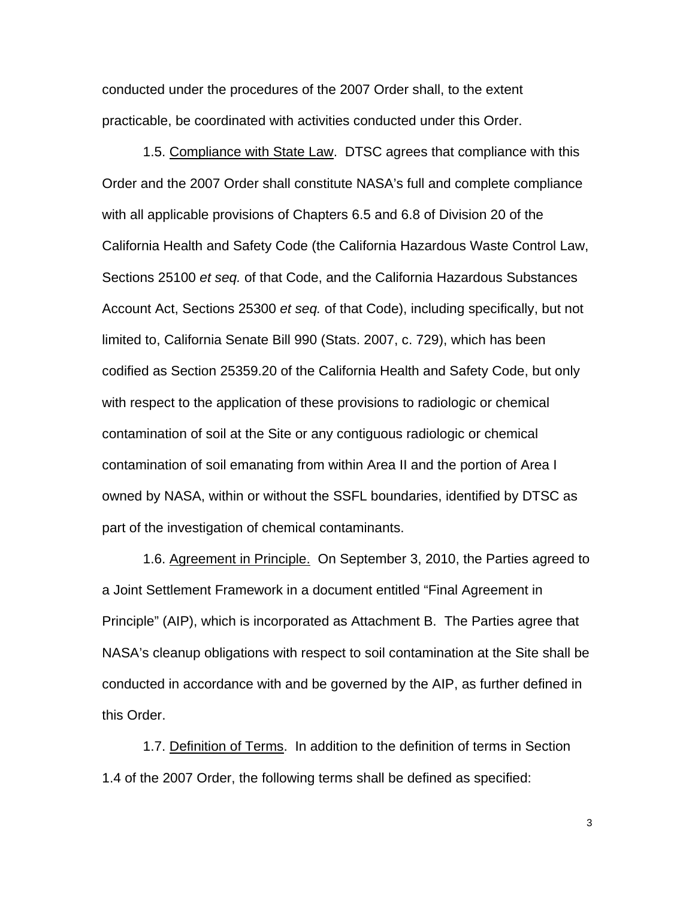conducted under the procedures of the 2007 Order shall, to the extent practicable, be coordinated with activities conducted under this Order.

1.5. Compliance with State Law. DTSC agrees that compliance with this Order and the 2007 Order shall constitute NASA's full and complete compliance with all applicable provisions of Chapters 6.5 and 6.8 of Division 20 of the California Health and Safety Code (the California Hazardous Waste Control Law, Sections 25100 *et seq.* of that Code, and the California Hazardous Substances Account Act, Sections 25300 *et seq.* of that Code), including specifically, but not limited to, California Senate Bill 990 (Stats. 2007, c. 729), which has been codified as Section 25359.20 of the California Health and Safety Code, but only with respect to the application of these provisions to radiologic or chemical contamination of soil at the Site or any contiguous radiologic or chemical contamination of soil emanating from within Area II and the portion of Area I owned by NASA, within or without the SSFL boundaries, identified by DTSC as part of the investigation of chemical contaminants.

1.6. Agreement in Principle. On September 3, 2010, the Parties agreed to a Joint Settlement Framework in a document entitled "Final Agreement in Principle" (AIP), which is incorporated as Attachment B. The Parties agree that NASA's cleanup obligations with respect to soil contamination at the Site shall be conducted in accordance with and be governed by the AIP, as further defined in this Order.

1.7. Definition of Terms. In addition to the definition of terms in Section 1.4 of the 2007 Order, the following terms shall be defined as specified: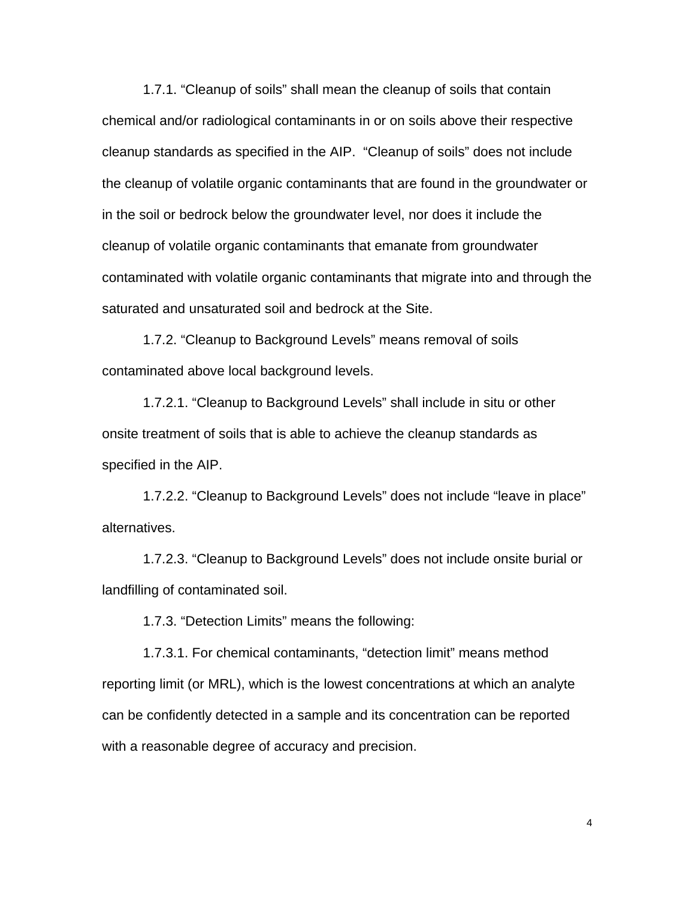1.7.1. "Cleanup of soils" shall mean the cleanup of soils that contain chemical and/or radiological contaminants in or on soils above their respective cleanup standards as specified in the AIP. "Cleanup of soils" does not include the cleanup of volatile organic contaminants that are found in the groundwater or in the soil or bedrock below the groundwater level, nor does it include the cleanup of volatile organic contaminants that emanate from groundwater contaminated with volatile organic contaminants that migrate into and through the saturated and unsaturated soil and bedrock at the Site.

1.7.2. "Cleanup to Background Levels" means removal of soils contaminated above local background levels.

1.7.2.1. "Cleanup to Background Levels" shall include in situ or other onsite treatment of soils that is able to achieve the cleanup standards as specified in the AIP.

1.7.2.2. "Cleanup to Background Levels" does not include "leave in place" alternatives.

1.7.2.3. "Cleanup to Background Levels" does not include onsite burial or landfilling of contaminated soil.

1.7.3. "Detection Limits" means the following:

1.7.3.1. For chemical contaminants, "detection limit" means method reporting limit (or MRL), which is the lowest concentrations at which an analyte can be confidently detected in a sample and its concentration can be reported with a reasonable degree of accuracy and precision.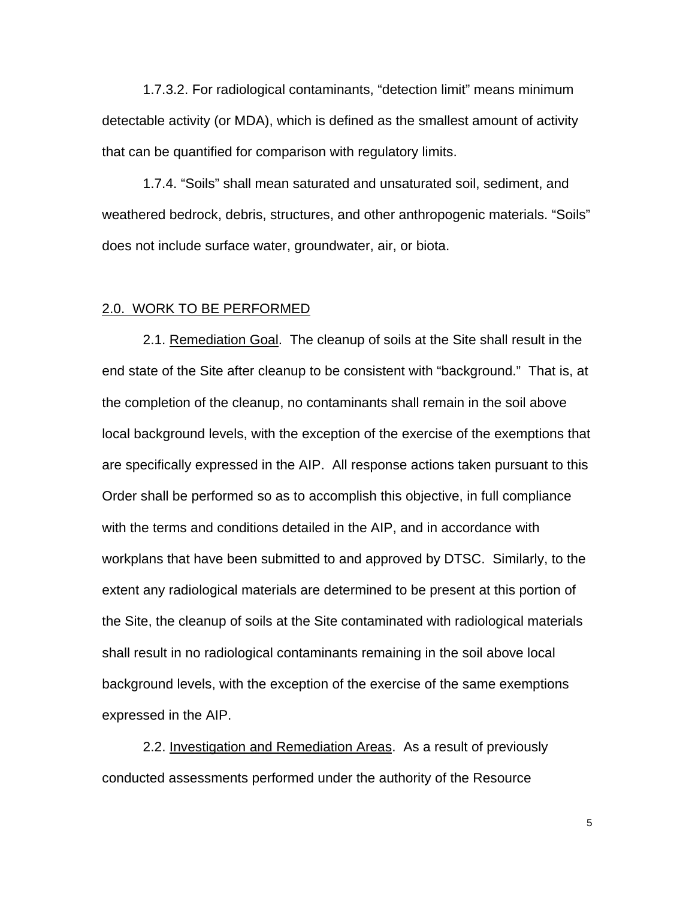1.7.3.2. For radiological contaminants, "detection limit" means minimum detectable activity (or MDA), which is defined as the smallest amount of activity that can be quantified for comparison with regulatory limits.

1.7.4. "Soils" shall mean saturated and unsaturated soil, sediment, and weathered bedrock, debris, structures, and other anthropogenic materials. "Soils" does not include surface water, groundwater, air, or biota.

#### 2.0. WORK TO BE PERFORMED

2.1. Remediation Goal. The cleanup of soils at the Site shall result in the end state of the Site after cleanup to be consistent with "background." That is, at the completion of the cleanup, no contaminants shall remain in the soil above local background levels, with the exception of the exercise of the exemptions that are specifically expressed in the AIP. All response actions taken pursuant to this Order shall be performed so as to accomplish this objective, in full compliance with the terms and conditions detailed in the AIP, and in accordance with workplans that have been submitted to and approved by DTSC. Similarly, to the extent any radiological materials are determined to be present at this portion of the Site, the cleanup of soils at the Site contaminated with radiological materials shall result in no radiological contaminants remaining in the soil above local background levels, with the exception of the exercise of the same exemptions expressed in the AIP.

2.2. Investigation and Remediation Areas. As a result of previously conducted assessments performed under the authority of the Resource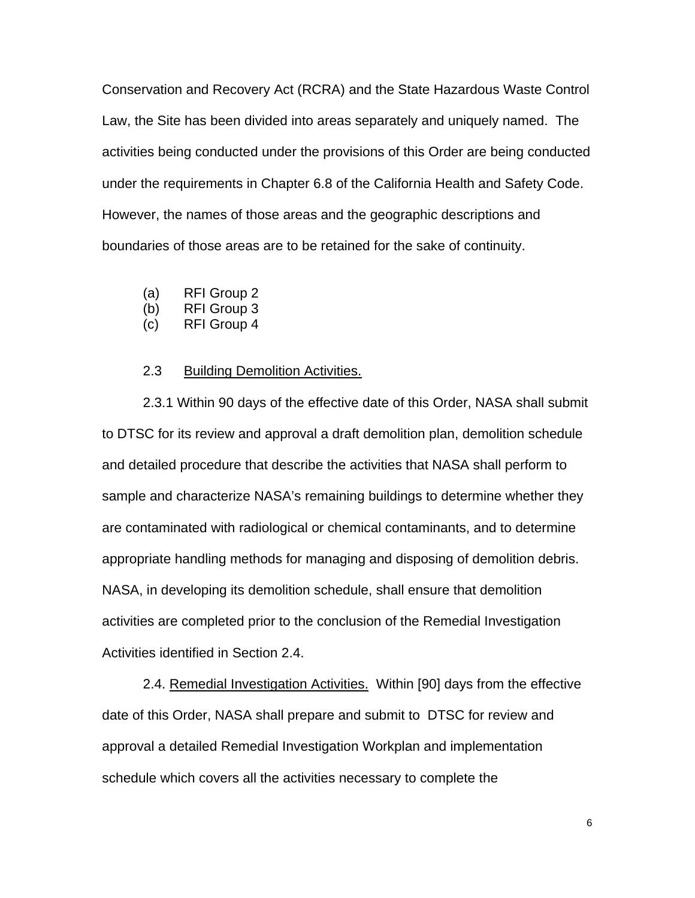Conservation and Recovery Act (RCRA) and the State Hazardous Waste Control Law, the Site has been divided into areas separately and uniquely named. The activities being conducted under the provisions of this Order are being conducted under the requirements in Chapter 6.8 of the California Health and Safety Code. However, the names of those areas and the geographic descriptions and boundaries of those areas are to be retained for the sake of continuity.

- (a) RFI Group 2
- (b) RFI Group 3
- (c) RFI Group 4

#### **Building Demolition Activities.**

2.3 Building Demolition Activities.<br>2.3.1 Within 90 days of the effective date of this Order, NASA shall submit to DTSC for its review and approval a draft demolition plan, demolition schedule and detailed procedure that describe the activities that NASA shall perform to sample and characterize NASA's remaining buildings to determine whether they are contaminated with radiological or chemical contaminants, and to determine appropriate handling methods for managing and disposing of demolition debris. NASA, in developing its demolition schedule, shall ensure that demolition activities are completed prior to the conclusion of the Remedial Investigation Activities identified in Section 2.4.

2.4. Remedial Investigation Activities. Within [90] days from the effective date of this Order, NASA shall prepare and submit to DTSC for review and approval a detailed Remedial Investigation Workplan and implementation schedule which covers all the activities necessary to complete the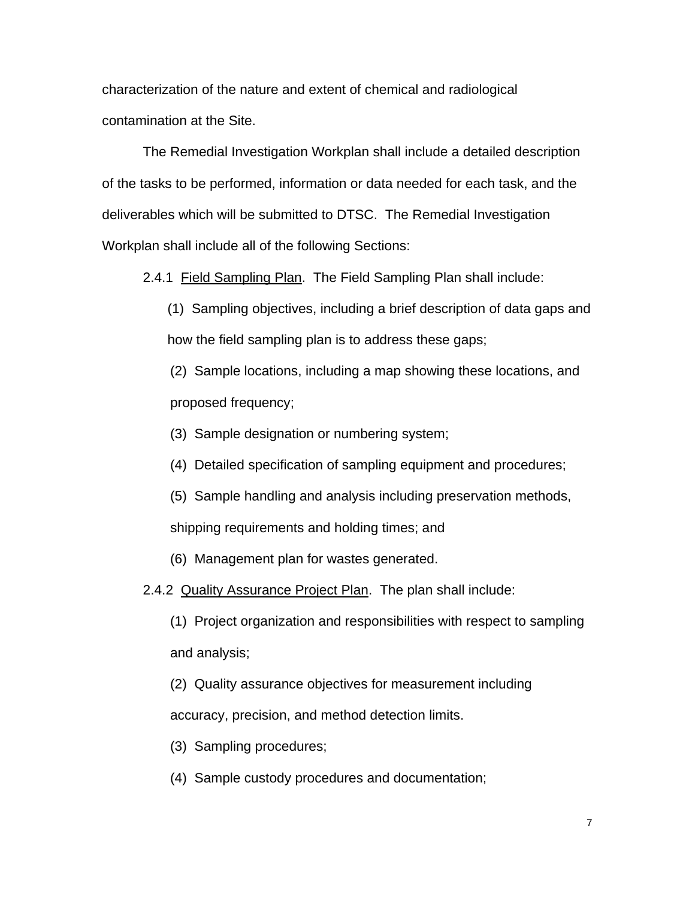characterization of the nature and extent of chemical and radiological contamination at the Site.

The Remedial Investigation Workplan shall include a detailed description of the tasks to be performed, information or data needed for each task, and the deliverables which will be submitted to DTSC. The Remedial Investigation Workplan shall include all of the following Sections:

2.4.1 Field Sampling Plan. The Field Sampling Plan shall include:

(1) Sampling objectives, including a brief description of data gaps and how the field sampling plan is to address these gaps;

(2) Sample locations, including a map showing these locations, and proposed frequency;

(3) Sample designation or numbering system;

(4) Detailed specification of sampling equipment and procedures;

(5) Sample handling and analysis including preservation methods, shipping requirements and holding times; and

(6) Management plan for wastes generated.

2.4.2 Quality Assurance Project Plan. The plan shall include:

(1) Project organization and responsibilities with respect to sampling and analysis;

(2) Quality assurance objectives for measurement including

accuracy, precision, and method detection limits.

(3) Sampling procedures;

(4) Sample custody procedures and documentation;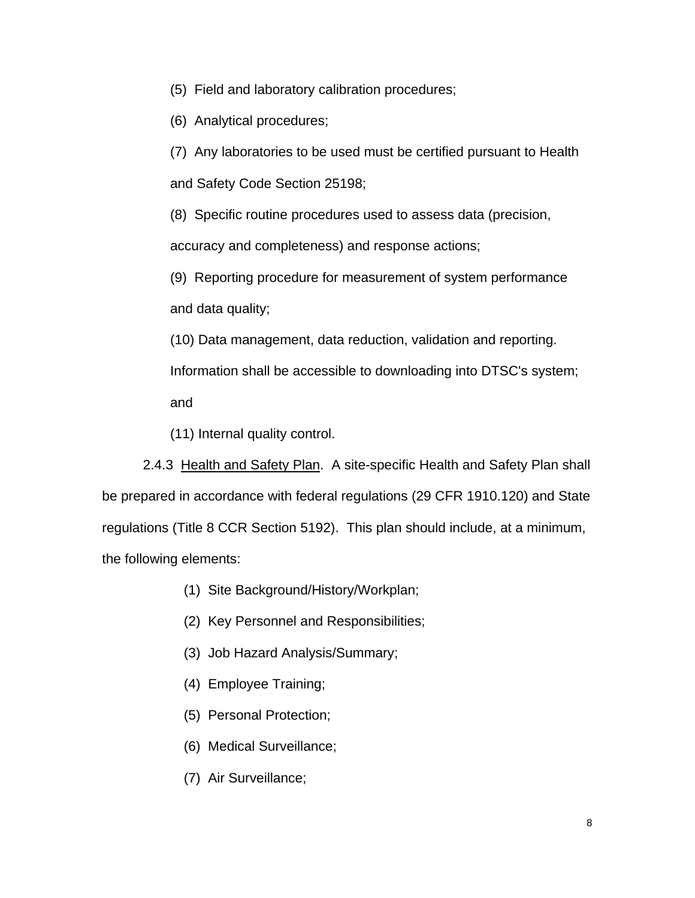(5) Field and laboratory calibration procedures;

(6) Analytical procedures;

(7) Any laboratories to be used must be certified pursuant to Health

and Safety Code Section 25198;

(8) Specific routine procedures used to assess data (precision, accuracy and completeness) and response actions;

(9) Reporting procedure for measurement of system performance and data quality;

(10) Data management, data reduction, validation and reporting. Information shall be accessible to downloading into DTSC's system; and

(11) Internal quality control.

2.4.3 Health and Safety Plan. A site-specific Health and Safety Plan shall be prepared in accordance with federal regulations (29 CFR 1910.120) and State regulations (Title 8 CCR Section 5192). This plan should include, at a minimum, the following elements:

- (1) Site Background/History/Workplan;
- (2) Key Personnel and Responsibilities;
- (3) Job Hazard Analysis/Summary;
- (4) Employee Training;
- (5) Personal Protection;
- (6) Medical Surveillance;
- (7) Air Surveillance;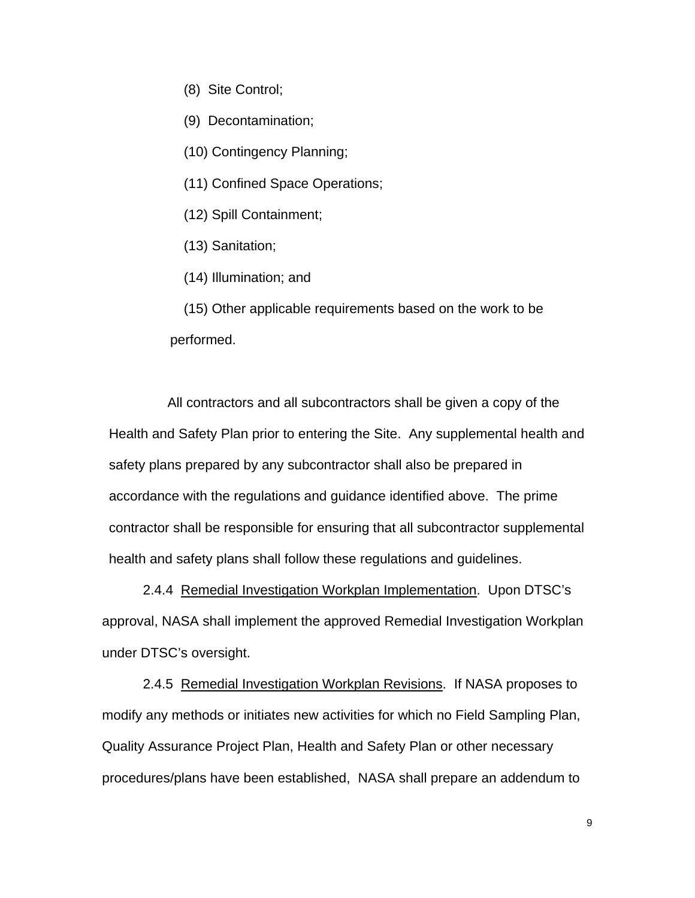- (8) Site Control;
- (9) Decontamination;
- (10) Contingency Planning;
- (11) Confined Space Operations;
- (12) Spill Containment;
- (13) Sanitation;
- (14) Illumination; and

(15) Other applicable requirements based on the work to be performed.

All contractors and all subcontractors shall be given a copy of the Health and Safety Plan prior to entering the Site. Any supplemental health and safety plans prepared by any subcontractor shall also be prepared in accordance with the regulations and guidance identified above. The prime contractor shall be responsible for ensuring that all subcontractor supplemental health and safety plans shall follow these regulations and guidelines.

2.4.4 Remedial Investigation Workplan Implementation. Upon DTSC's approval, NASA shall implement the approved Remedial Investigation Workplan under DTSC's oversight.

2.4.5 Remedial Investigation Workplan Revisions. If NASA proposes to modify any methods or initiates new activities for which no Field Sampling Plan, Quality Assurance Project Plan, Health and Safety Plan or other necessary procedures/plans have been established, NASA shall prepare an addendum to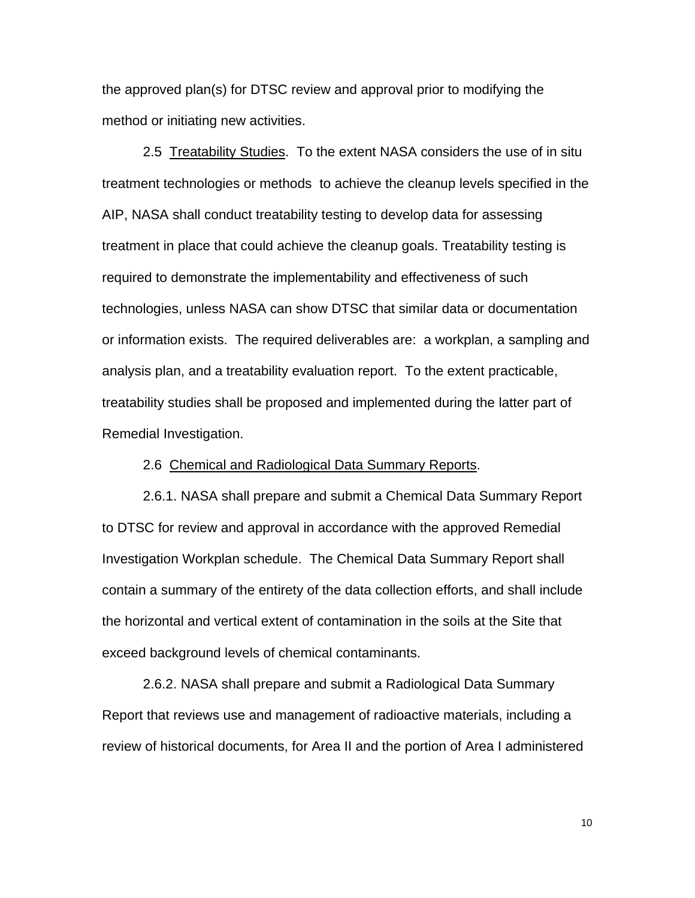the approved plan(s) for DTSC review and approval prior to modifying the method or initiating new activities.

2.5 Treatability Studies. To the extent NASA considers the use of in situ treatment technologies or methods to achieve the cleanup levels specified in the AIP, NASA shall conduct treatability testing to develop data for assessing treatment in place that could achieve the cleanup goals. Treatability testing is required to demonstrate the implementability and effectiveness of such technologies, unless NASA can show DTSC that similar data or documentation or information exists. The required deliverables are: a workplan, a sampling and analysis plan, and a treatability evaluation report. To the extent practicable, treatability studies shall be proposed and implemented during the latter part of Remedial Investigation.

2.6 Chemical and Radiological Data Summary Reports.

2.6.1. NASA shall prepare and submit a Chemical Data Summary Report to DTSC for review and approval in accordance with the approved Remedial Investigation Workplan schedule. The Chemical Data Summary Report shall contain a summary of the entirety of the data collection efforts, and shall include the horizontal and vertical extent of contamination in the soils at the Site that exceed background levels of chemical contaminants.

2.6.2. NASA shall prepare and submit a Radiological Data Summary Report that reviews use and management of radioactive materials, including a review of historical documents, for Area II and the portion of Area I administered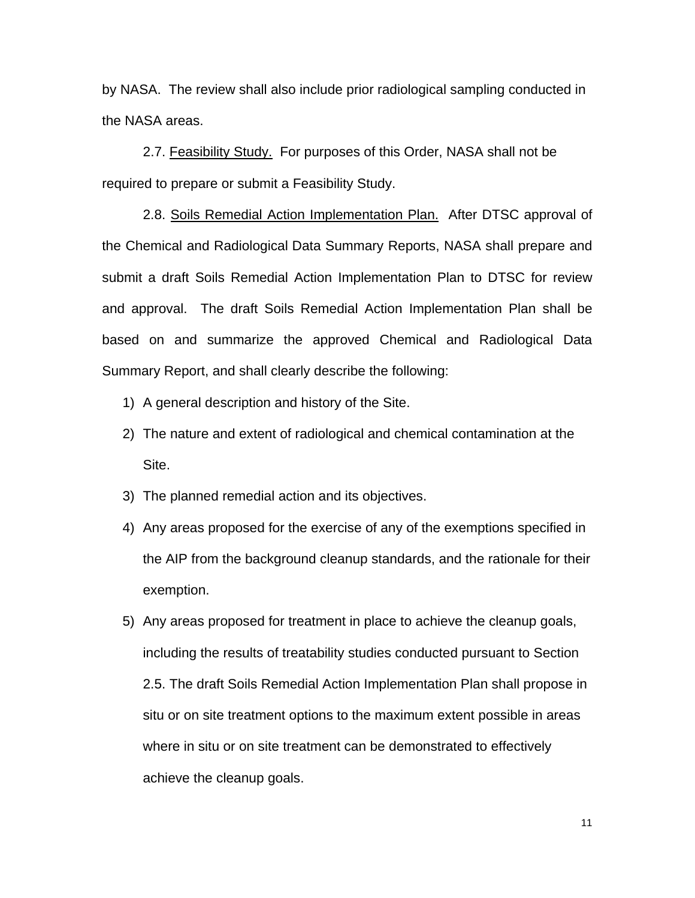by NASA. The review shall also include prior radiological sampling conducted in the NASA areas.

2.7. Feasibility Study. For purposes of this Order, NASA shall not be required to prepare or submit a Feasibility Study.

 2.8. Soils Remedial Action Implementation Plan. After DTSC approval of the Chemical and Radiological Data Summary Reports, NASA shall prepare and submit a draft Soils Remedial Action Implementation Plan to DTSC for review and approval. The draft Soils Remedial Action Implementation Plan shall be based on and summarize the approved Chemical and Radiological Data Summary Report, and shall clearly describe the following:

- 1) A general description and history of the Site.
- 2) The nature and extent of radiological and chemical contamination at the Site.
- 3) The planned remedial action and its objectives.
- 4) Any areas proposed for the exercise of any of the exemptions specified in the AIP from the background cleanup standards, and the rationale for their exemption.
- 5) Any areas proposed for treatment in place to achieve the cleanup goals, including the results of treatability studies conducted pursuant to Section 2.5. The draft Soils Remedial Action Implementation Plan shall propose in situ or on site treatment options to the maximum extent possible in areas where in situ or on site treatment can be demonstrated to effectively achieve the cleanup goals.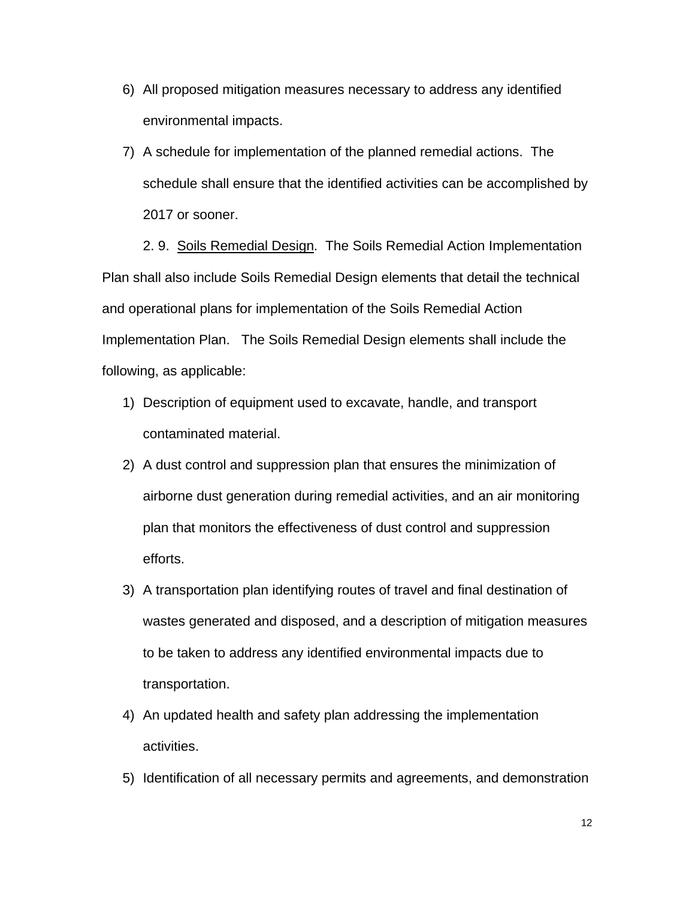- 6) All proposed mitigation measures necessary to address any identified environmental impacts.
- 7) A schedule for implementation of the planned remedial actions. The schedule shall ensure that the identified activities can be accomplished by 2017 or sooner.

2. 9. Soils Remedial Design. The Soils Remedial Action Implementation Plan shall also include Soils Remedial Design elements that detail the technical and operational plans for implementation of the Soils Remedial Action Implementation Plan. The Soils Remedial Design elements shall include the following, as applicable:

- 1) Description of equipment used to excavate, handle, and transport contaminated material.
- 2) A dust control and suppression plan that ensures the minimization of airborne dust generation during remedial activities, and an air monitoring plan that monitors the effectiveness of dust control and suppression efforts.
- 3) A transportation plan identifying routes of travel and final destination of wastes generated and disposed, and a description of mitigation measures to be taken to address any identified environmental impacts due to transportation.
- 4) An updated health and safety plan addressing the implementation activities.
- 5) Identification of all necessary permits and agreements, and demonstration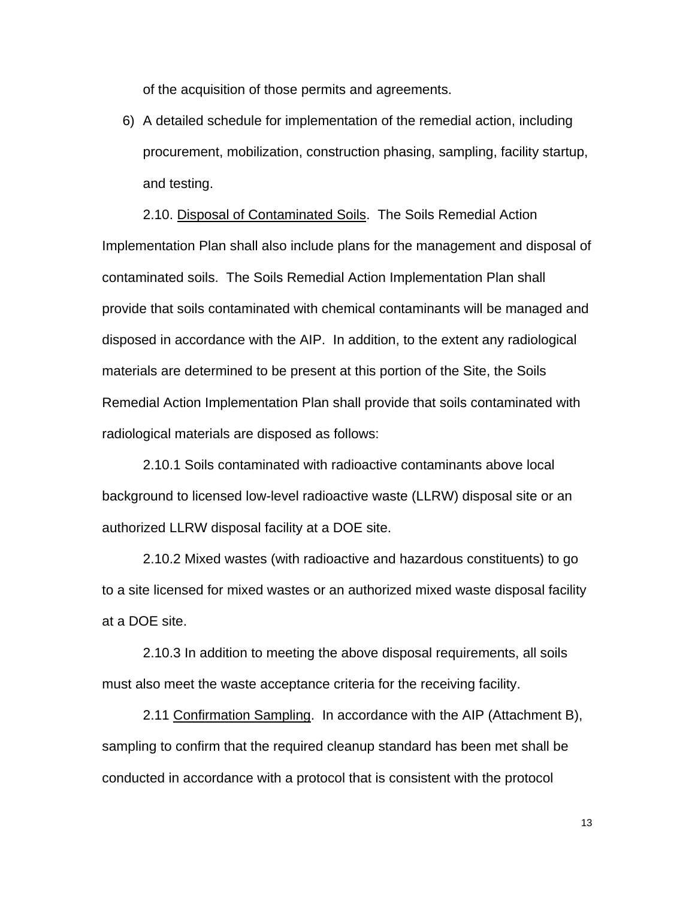of the acquisition of those permits and agreements.

6) A detailed schedule for implementation of the remedial action, including procurement, mobilization, construction phasing, sampling, facility startup, and testing.

2.10. Disposal of Contaminated Soils. The Soils Remedial Action Implementation Plan shall also include plans for the management and disposal of contaminated soils. The Soils Remedial Action Implementation Plan shall provide that soils contaminated with chemical contaminants will be managed and disposed in accordance with the AIP. In addition, to the extent any radiological materials are determined to be present at this portion of the Site, the Soils Remedial Action Implementation Plan shall provide that soils contaminated with radiological materials are disposed as follows:

2.10.1 Soils contaminated with radioactive contaminants above local background to licensed low-level radioactive waste (LLRW) disposal site or an authorized LLRW disposal facility at a DOE site.

2.10.2 Mixed wastes (with radioactive and hazardous constituents) to go to a site licensed for mixed wastes or an authorized mixed waste disposal facility at a DOE site.

2.10.3 In addition to meeting the above disposal requirements, all soils must also meet the waste acceptance criteria for the receiving facility.

2.11 Confirmation Sampling. In accordance with the AIP (Attachment B), sampling to confirm that the required cleanup standard has been met shall be conducted in accordance with a protocol that is consistent with the protocol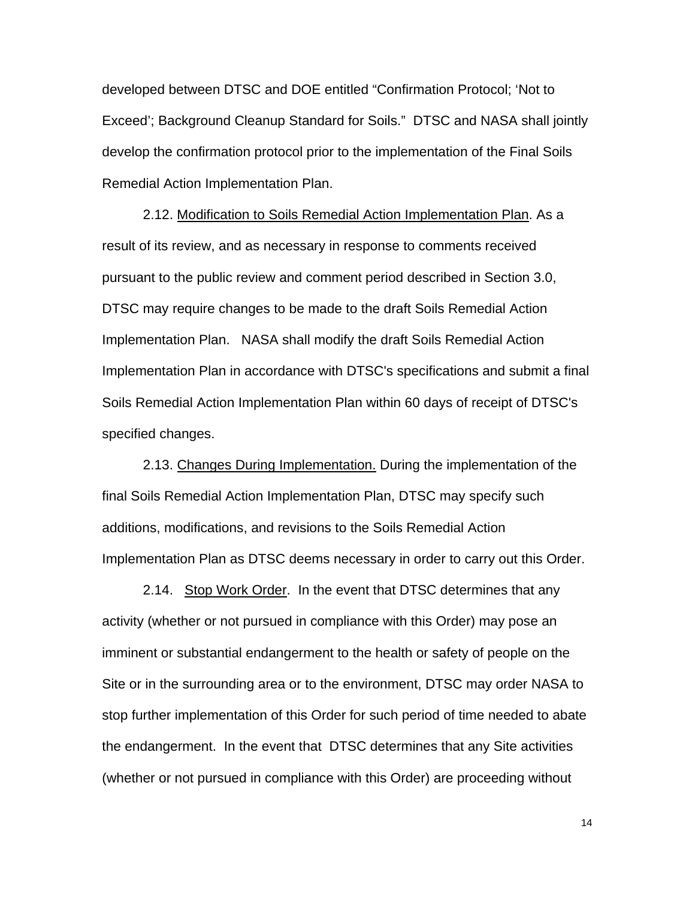developed between DTSC and DOE entitled "Confirmation Protocol; 'Not to Exceed'; Background Cleanup Standard for Soils." DTSC and NASA shall jointly develop the confirmation protocol prior to the implementation of the Final Soils Remedial Action Implementation Plan.

2.12. Modification to Soils Remedial Action Implementation Plan. As a result of its review, and as necessary in response to comments received pursuant to the public review and comment period described in Section 3.0, DTSC may require changes to be made to the draft Soils Remedial Action Implementation Plan. NASA shall modify the draft Soils Remedial Action Implementation Plan in accordance with DTSC's specifications and submit a final Soils Remedial Action Implementation Plan within 60 days of receipt of DTSC's specified changes.

2.13. Changes During Implementation. During the implementation of the final Soils Remedial Action Implementation Plan, DTSC may specify such additions, modifications, and revisions to the Soils Remedial Action Implementation Plan as DTSC deems necessary in order to carry out this Order.

2.14. Stop Work Order. In the event that DTSC determines that any activity (whether or not pursued in compliance with this Order) may pose an imminent or substantial endangerment to the health or safety of people on the Site or in the surrounding area or to the environment, DTSC may order NASA to stop further implementation of this Order for such period of time needed to abate the endangerment. In the event that DTSC determines that any Site activities (whether or not pursued in compliance with this Order) are proceeding without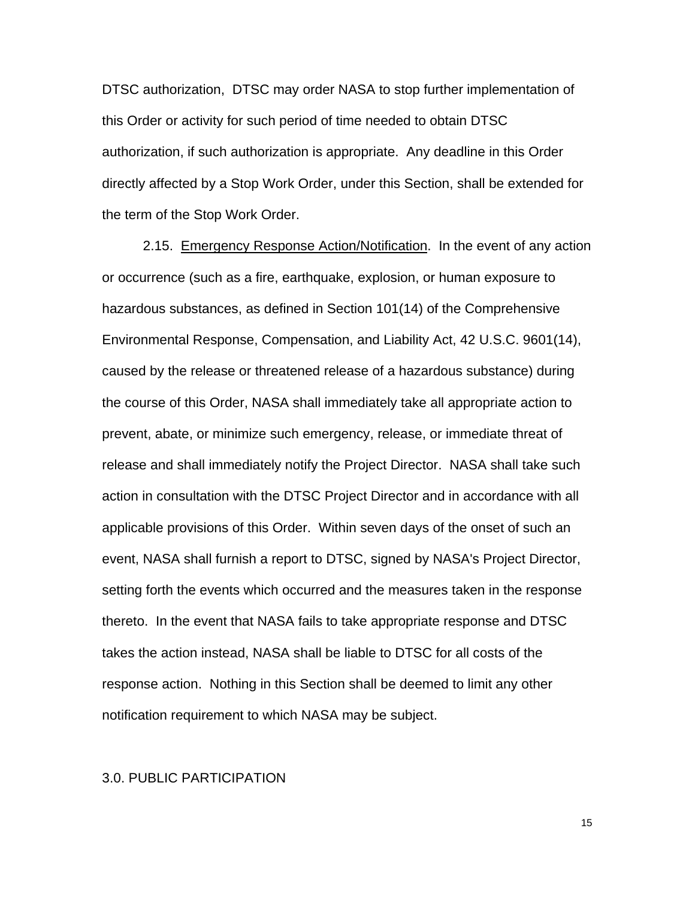DTSC authorization, DTSC may order NASA to stop further implementation of this Order or activity for such period of time needed to obtain DTSC authorization, if such authorization is appropriate. Any deadline in this Order directly affected by a Stop Work Order, under this Section, shall be extended for the term of the Stop Work Order.

2.15. Emergency Response Action/Notification. In the event of any action or occurrence (such as a fire, earthquake, explosion, or human exposure to hazardous substances, as defined in Section 101(14) of the Comprehensive Environmental Response, Compensation, and Liability Act, 42 U.S.C. 9601(14), caused by the release or threatened release of a hazardous substance) during the course of this Order, NASA shall immediately take all appropriate action to prevent, abate, or minimize such emergency, release, or immediate threat of release and shall immediately notify the Project Director. NASA shall take such action in consultation with the DTSC Project Director and in accordance with all applicable provisions of this Order. Within seven days of the onset of such an event, NASA shall furnish a report to DTSC, signed by NASA's Project Director, setting forth the events which occurred and the measures taken in the response thereto. In the event that NASA fails to take appropriate response and DTSC takes the action instead, NASA shall be liable to DTSC for all costs of the response action. Nothing in this Section shall be deemed to limit any other notification requirement to which NASA may be subject.

### 3.0. PUBLIC PARTICIPATION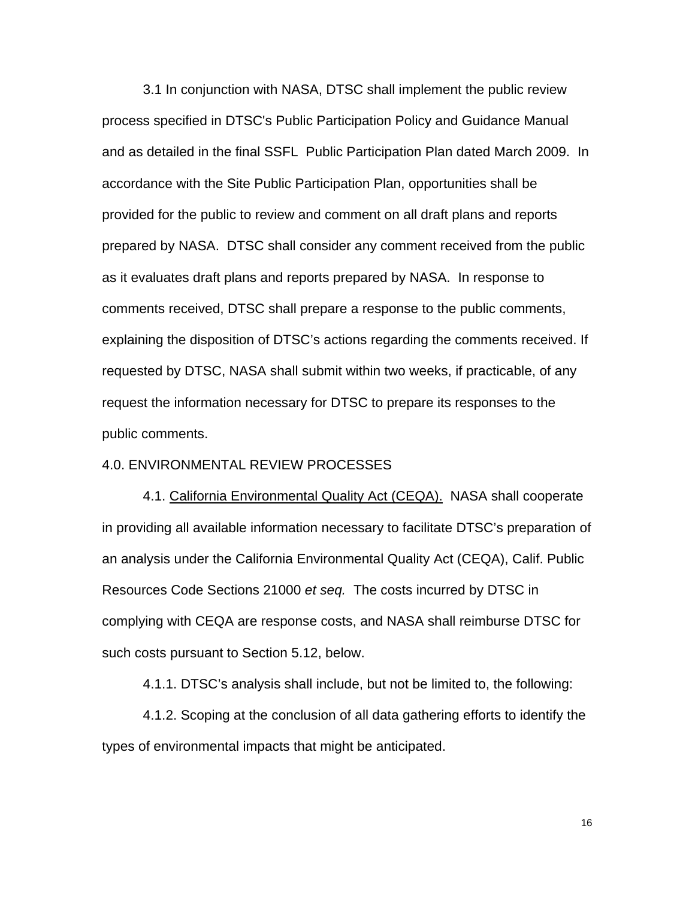3.1 In conjunction with NASA, DTSC shall implement the public review process specified in DTSC's Public Participation Policy and Guidance Manual and as detailed in the final SSFL Public Participation Plan dated March 2009. In accordance with the Site Public Participation Plan, opportunities shall be provided for the public to review and comment on all draft plans and reports prepared by NASA. DTSC shall consider any comment received from the public as it evaluates draft plans and reports prepared by NASA. In response to comments received, DTSC shall prepare a response to the public comments, explaining the disposition of DTSC's actions regarding the comments received. If requested by DTSC, NASA shall submit within two weeks, if practicable, of any request the information necessary for DTSC to prepare its responses to the public comments.

#### 4.0. ENVIRONMENTAL REVIEW PROCESSES

4.1. California Environmental Quality Act (CEQA). NASA shall cooperate in providing all available information necessary to facilitate DTSC's preparation of an analysis under the California Environmental Quality Act (CEQA), Calif. Public Resources Code Sections 21000 *et seq.* The costs incurred by DTSC in complying with CEQA are response costs, and NASA shall reimburse DTSC for such costs pursuant to Section 5.12, below.

4.1.1. DTSC's analysis shall include, but not be limited to, the following:

4.1.2. Scoping at the conclusion of all data gathering efforts to identify the types of environmental impacts that might be anticipated.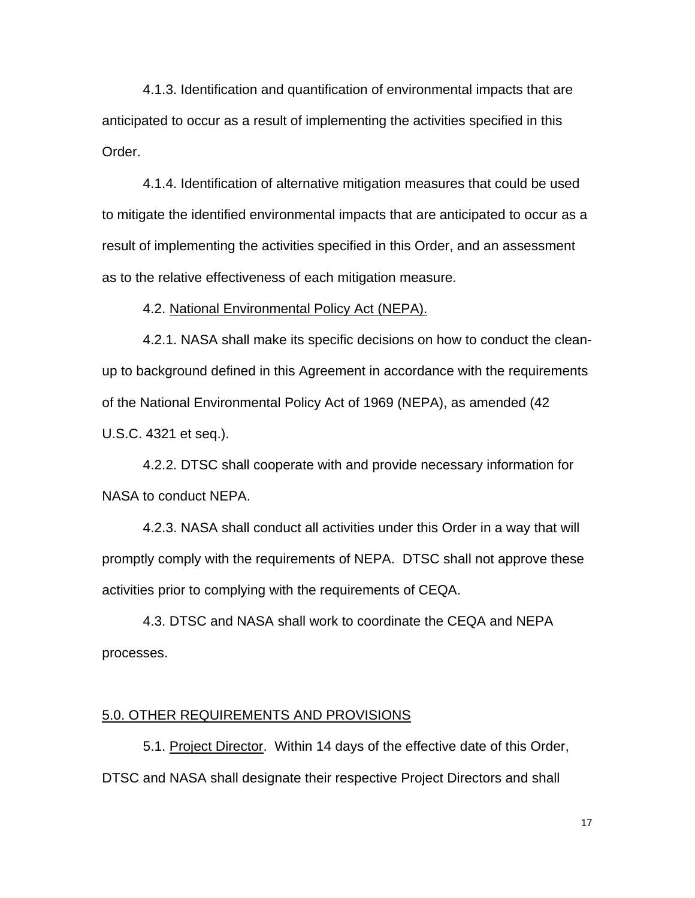4.1.3. Identification and quantification of environmental impacts that are anticipated to occur as a result of implementing the activities specified in this Order.

4.1.4. Identification of alternative mitigation measures that could be used to mitigate the identified environmental impacts that are anticipated to occur as a result of implementing the activities specified in this Order, and an assessment as to the relative effectiveness of each mitigation measure.

4.2. National Environmental Policy Act (NEPA).

4.2.1. NASA shall make its specific decisions on how to conduct the cleanup to background defined in this Agreement in accordance with the requirements of the National Environmental Policy Act of 1969 (NEPA), as amended (42 U.S.C. 4321 et seq.).

4.2.2. DTSC shall cooperate with and provide necessary information for NASA to conduct NEPA.

4.2.3. NASA shall conduct all activities under this Order in a way that will promptly comply with the requirements of NEPA. DTSC shall not approve these activities prior to complying with the requirements of CEQA.

4.3. DTSC and NASA shall work to coordinate the CEQA and NEPA processes.

#### 5.0. OTHER REQUIREMENTS AND PROVISIONS

5.1. Project Director. Within 14 days of the effective date of this Order, DTSC and NASA shall designate their respective Project Directors and shall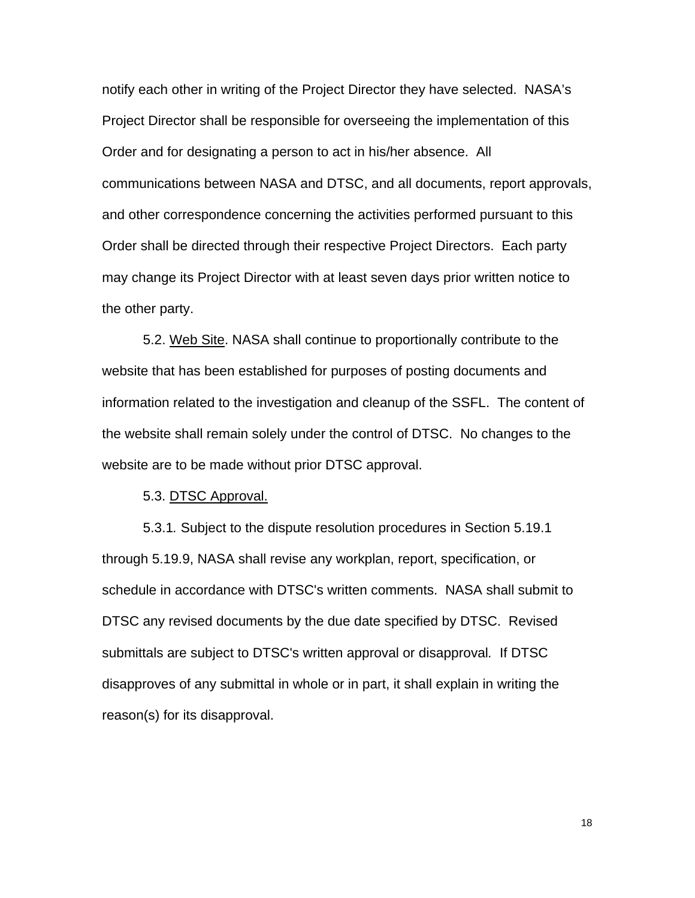notify each other in writing of the Project Director they have selected. NASA's Project Director shall be responsible for overseeing the implementation of this Order and for designating a person to act in his/her absence. All communications between NASA and DTSC, and all documents, report approvals, and other correspondence concerning the activities performed pursuant to this Order shall be directed through their respective Project Directors. Each party may change its Project Director with at least seven days prior written notice to the other party.

5.2. Web Site. NASA shall continue to proportionally contribute to the website that has been established for purposes of posting documents and information related to the investigation and cleanup of the SSFL. The content of the website shall remain solely under the control of DTSC. No changes to the website are to be made without prior DTSC approval.

5.3. DTSC Approval.

 5.3.1*.* Subject to the dispute resolution procedures in Section 5.19.1 through 5.19.9, NASA shall revise any workplan, report, specification, or schedule in accordance with DTSC's written comments. NASA shall submit to DTSC any revised documents by the due date specified by DTSC. Revised submittals are subject to DTSC's written approval or disapproval*.* If DTSC disapproves of any submittal in whole or in part, it shall explain in writing the reason(s) for its disapproval.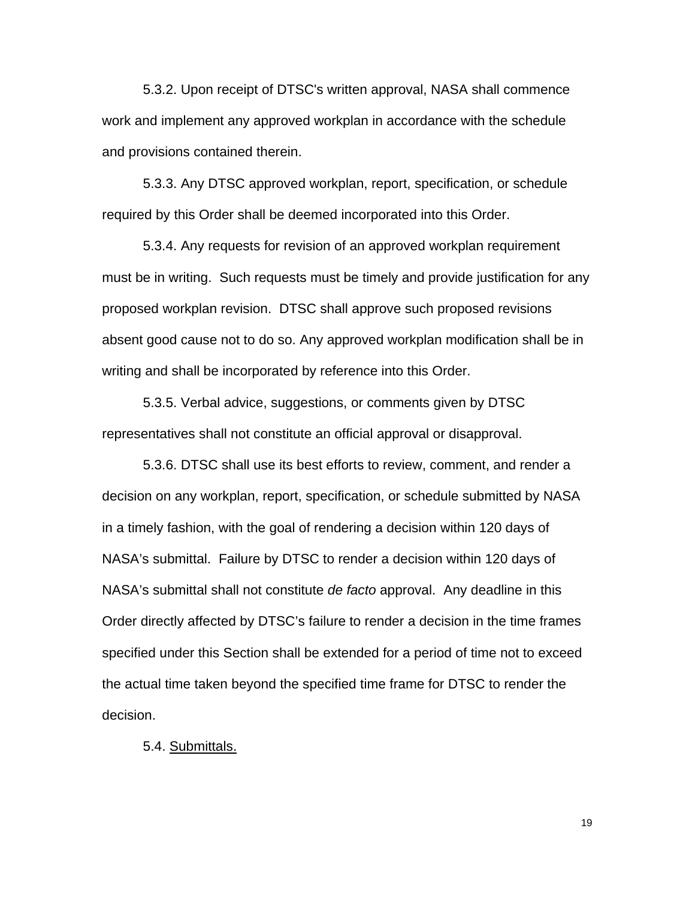5.3.2. Upon receipt of DTSC's written approval, NASA shall commence work and implement any approved workplan in accordance with the schedule and provisions contained therein.

5.3.3. Any DTSC approved workplan, report, specification, or schedule required by this Order shall be deemed incorporated into this Order.

5.3.4. Any requests for revision of an approved workplan requirement must be in writing. Such requests must be timely and provide justification for any proposed workplan revision. DTSC shall approve such proposed revisions absent good cause not to do so. Any approved workplan modification shall be in writing and shall be incorporated by reference into this Order.

5.3.5. Verbal advice, suggestions, or comments given by DTSC representatives shall not constitute an official approval or disapproval.

5.3.6. DTSC shall use its best efforts to review, comment, and render a decision on any workplan, report, specification, or schedule submitted by NASA in a timely fashion, with the goal of rendering a decision within 120 days of NASA's submittal. Failure by DTSC to render a decision within 120 days of NASA's submittal shall not constitute *de facto* approval. Any deadline in this Order directly affected by DTSC's failure to render a decision in the time frames specified under this Section shall be extended for a period of time not to exceed the actual time taken beyond the specified time frame for DTSC to render the decision.

5.4. Submittals.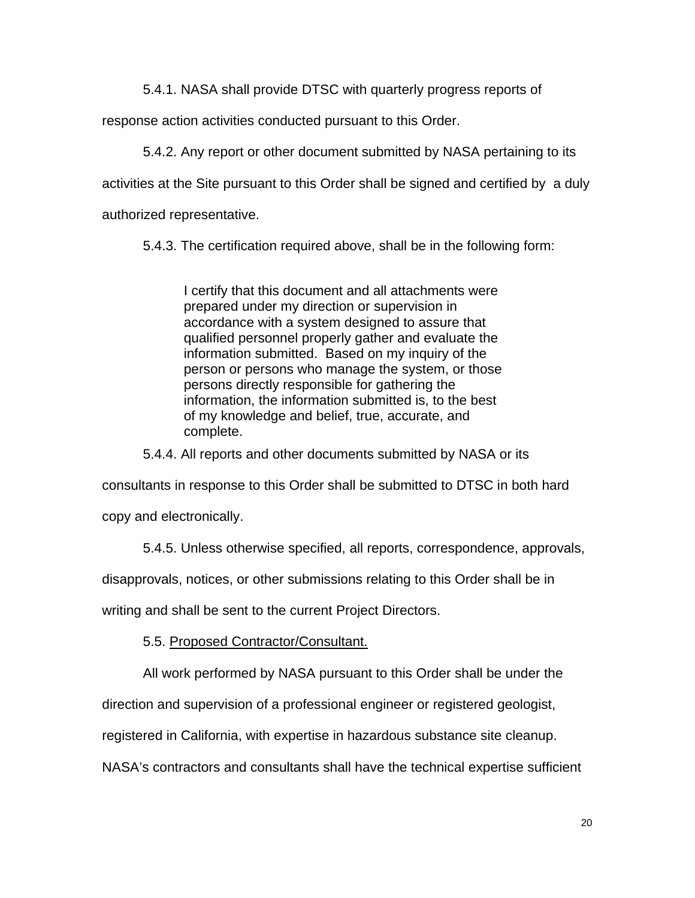5.4.1. NASA shall provide DTSC with quarterly progress reports of

response action activities conducted pursuant to this Order.

5.4.2. Any report or other document submitted by NASA pertaining to its

activities at the Site pursuant to this Order shall be signed and certified by a duly

authorized representative.

5.4.3. The certification required above, shall be in the following form:

I certify that this document and all attachments were prepared under my direction or supervision in accordance with a system designed to assure that qualified personnel properly gather and evaluate the information submitted. Based on my inquiry of the person or persons who manage the system, or those persons directly responsible for gathering the information, the information submitted is, to the best of my knowledge and belief, true, accurate, and complete.

5.4.4. All reports and other documents submitted by NASA or its

consultants in response to this Order shall be submitted to DTSC in both hard

copy and electronically.

5.4.5. Unless otherwise specified, all reports, correspondence, approvals,

disapprovals, notices, or other submissions relating to this Order shall be in

writing and shall be sent to the current Project Directors.

5.5. Proposed Contractor/Consultant.

All work performed by NASA pursuant to this Order shall be under the

direction and supervision of a professional engineer or registered geologist,

registered in California, with expertise in hazardous substance site cleanup.

NASA's contractors and consultants shall have the technical expertise sufficient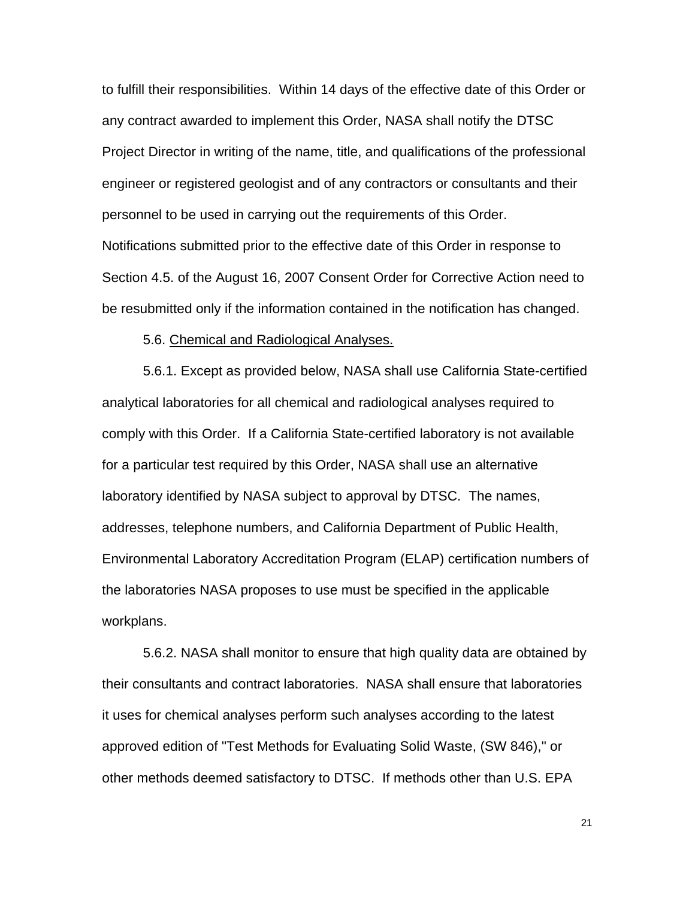to fulfill their responsibilities. Within 14 days of the effective date of this Order or any contract awarded to implement this Order, NASA shall notify the DTSC Project Director in writing of the name, title, and qualifications of the professional engineer or registered geologist and of any contractors or consultants and their personnel to be used in carrying out the requirements of this Order. Notifications submitted prior to the effective date of this Order in response to Section 4.5. of the August 16, 2007 Consent Order for Corrective Action need to be resubmitted only if the information contained in the notification has changed.

#### 5.6. Chemical and Radiological Analyses.

5.6.1. Except as provided below, NASA shall use California State-certified analytical laboratories for all chemical and radiological analyses required to comply with this Order. If a California State-certified laboratory is not available for a particular test required by this Order, NASA shall use an alternative laboratory identified by NASA subject to approval by DTSC. The names, addresses, telephone numbers, and California Department of Public Health, Environmental Laboratory Accreditation Program (ELAP) certification numbers of the laboratories NASA proposes to use must be specified in the applicable workplans.

5.6.2. NASA shall monitor to ensure that high quality data are obtained by their consultants and contract laboratories. NASA shall ensure that laboratories it uses for chemical analyses perform such analyses according to the latest approved edition of "Test Methods for Evaluating Solid Waste, (SW 846)," or other methods deemed satisfactory to DTSC. If methods other than U.S. EPA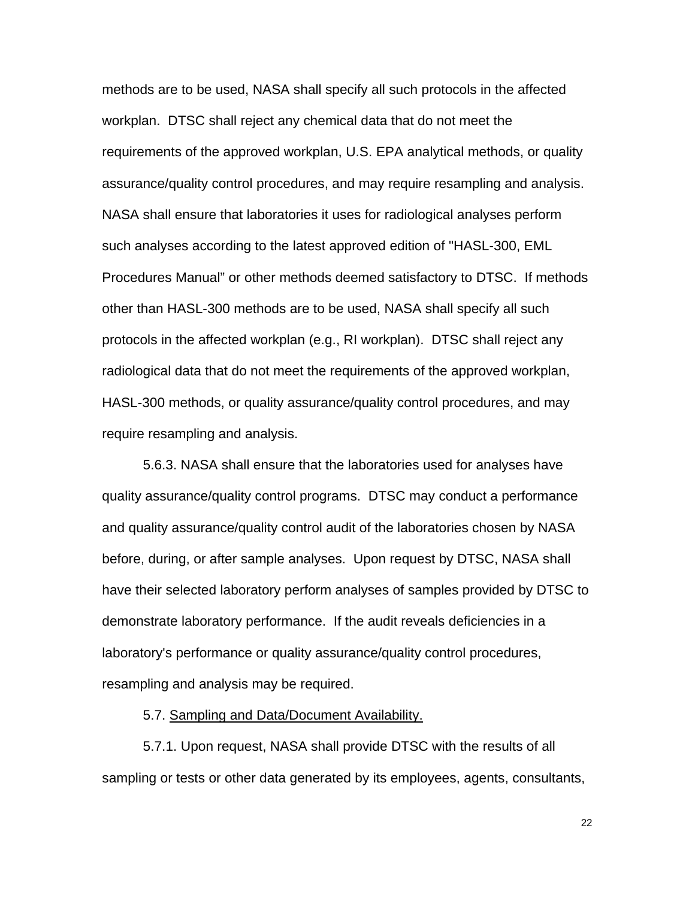methods are to be used, NASA shall specify all such protocols in the affected workplan. DTSC shall reject any chemical data that do not meet the requirements of the approved workplan, U.S. EPA analytical methods, or quality assurance/quality control procedures, and may require resampling and analysis. NASA shall ensure that laboratories it uses for radiological analyses perform such analyses according to the latest approved edition of "HASL-300, EML Procedures Manual" or other methods deemed satisfactory to DTSC. If methods other than HASL-300 methods are to be used, NASA shall specify all such protocols in the affected workplan (e.g., RI workplan). DTSC shall reject any radiological data that do not meet the requirements of the approved workplan, HASL-300 methods, or quality assurance/quality control procedures, and may require resampling and analysis.

5.6.3. NASA shall ensure that the laboratories used for analyses have quality assurance/quality control programs. DTSC may conduct a performance and quality assurance/quality control audit of the laboratories chosen by NASA before, during, or after sample analyses. Upon request by DTSC, NASA shall have their selected laboratory perform analyses of samples provided by DTSC to demonstrate laboratory performance. If the audit reveals deficiencies in a laboratory's performance or quality assurance/quality control procedures, resampling and analysis may be required.

5.7. Sampling and Data/Document Availability.

5.7.1. Upon request, NASA shall provide DTSC with the results of all sampling or tests or other data generated by its employees, agents, consultants,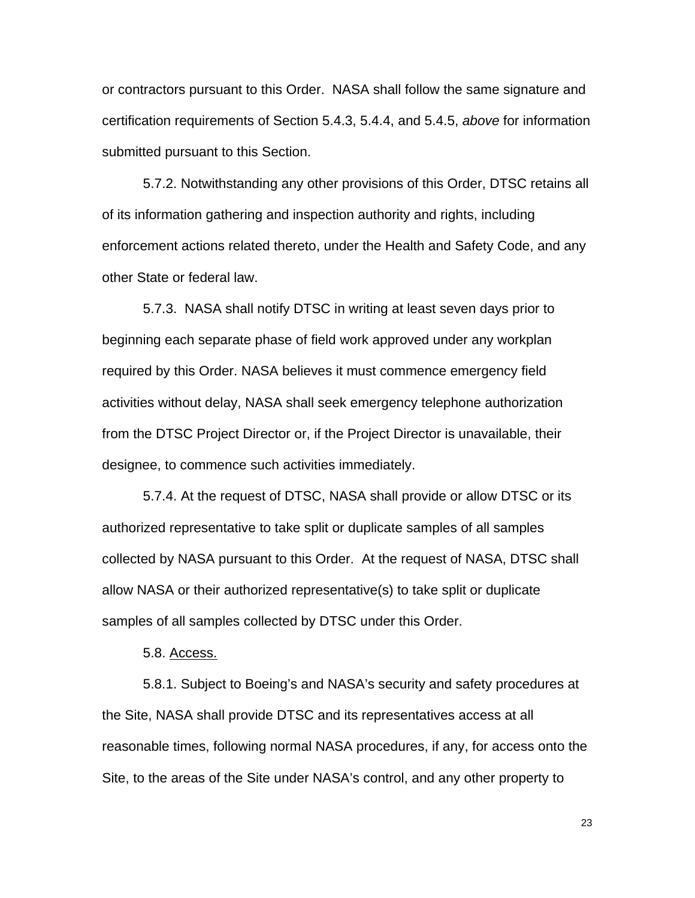or contractors pursuant to this Order. NASA shall follow the same signature and certification requirements of Section 5.4.3, 5.4.4, and 5.4.5, *above* for information submitted pursuant to this Section.

5.7.2. Notwithstanding any other provisions of this Order, DTSC retains all of its information gathering and inspection authority and rights, including enforcement actions related thereto, under the Health and Safety Code, and any other State or federal law.

5.7.3. NASA shall notify DTSC in writing at least seven days prior to beginning each separate phase of field work approved under any workplan required by this Order. NASA believes it must commence emergency field activities without delay, NASA shall seek emergency telephone authorization from the DTSC Project Director or, if the Project Director is unavailable, their designee, to commence such activities immediately.

5.7.4. At the request of DTSC, NASA shall provide or allow DTSC or its authorized representative to take split or duplicate samples of all samples collected by NASA pursuant to this Order. At the request of NASA, DTSC shall allow NASA or their authorized representative(s) to take split or duplicate samples of all samples collected by DTSC under this Order.

5.8. Access.

5.8.1. Subject to Boeing's and NASA's security and safety procedures at the Site, NASA shall provide DTSC and its representatives access at all reasonable times, following normal NASA procedures, if any, for access onto the Site, to the areas of the Site under NASA's control, and any other property to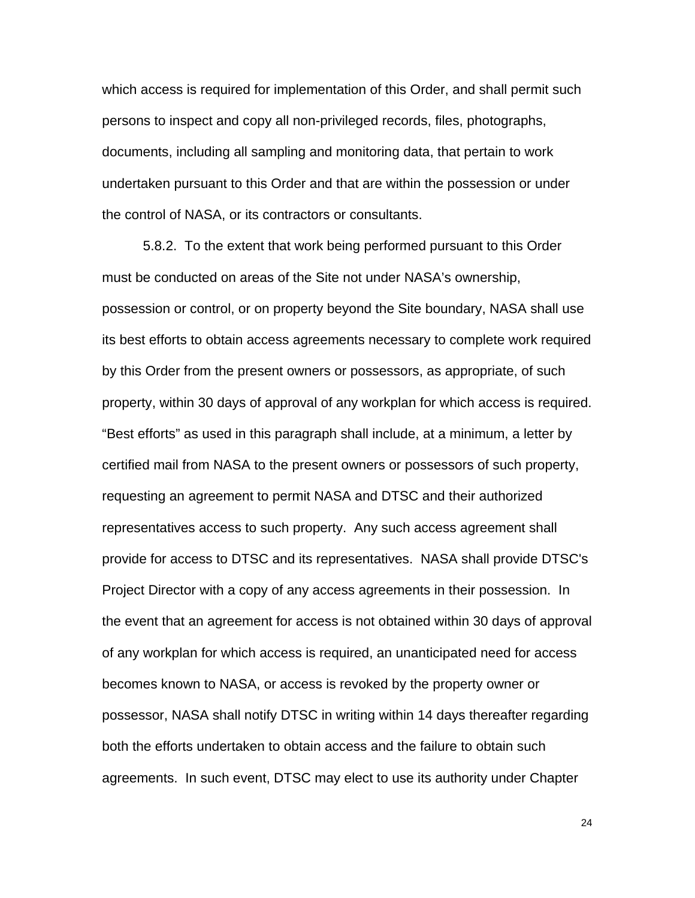which access is required for implementation of this Order, and shall permit such persons to inspect and copy all non-privileged records, files, photographs, documents, including all sampling and monitoring data, that pertain to work undertaken pursuant to this Order and that are within the possession or under the control of NASA, or its contractors or consultants.

5.8.2. To the extent that work being performed pursuant to this Order must be conducted on areas of the Site not under NASA's ownership, possession or control, or on property beyond the Site boundary, NASA shall use its best efforts to obtain access agreements necessary to complete work required by this Order from the present owners or possessors, as appropriate, of such property, within 30 days of approval of any workplan for which access is required. "Best efforts" as used in this paragraph shall include, at a minimum, a letter by certified mail from NASA to the present owners or possessors of such property, requesting an agreement to permit NASA and DTSC and their authorized representatives access to such property. Any such access agreement shall provide for access to DTSC and its representatives. NASA shall provide DTSC's Project Director with a copy of any access agreements in their possession. In the event that an agreement for access is not obtained within 30 days of approval of any workplan for which access is required, an unanticipated need for access becomes known to NASA, or access is revoked by the property owner or possessor, NASA shall notify DTSC in writing within 14 days thereafter regarding both the efforts undertaken to obtain access and the failure to obtain such agreements. In such event, DTSC may elect to use its authority under Chapter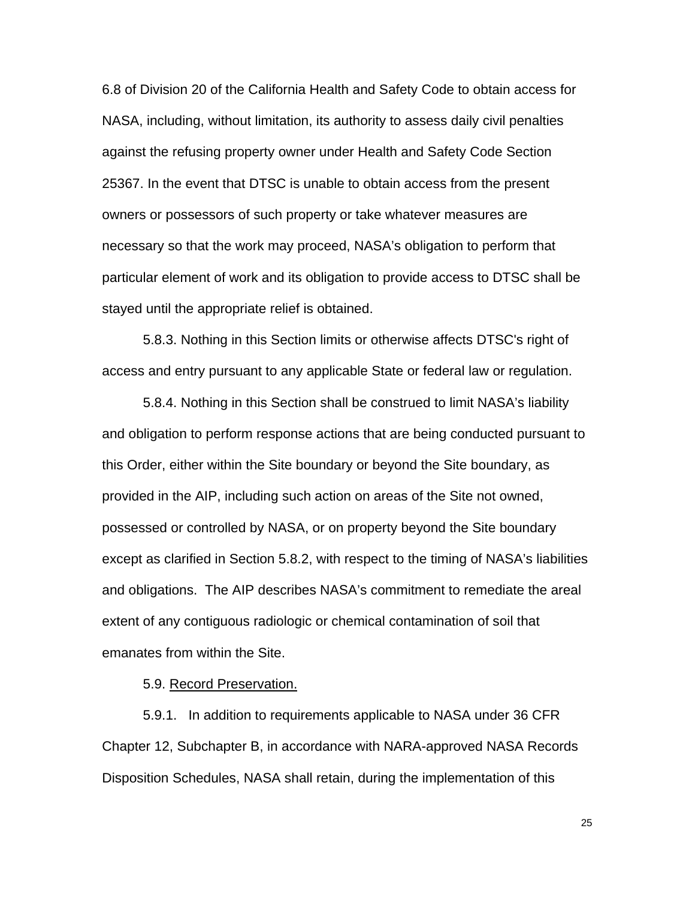6.8 of Division 20 of the California Health and Safety Code to obtain access for NASA, including, without limitation, its authority to assess daily civil penalties against the refusing property owner under Health and Safety Code Section 25367. In the event that DTSC is unable to obtain access from the present owners or possessors of such property or take whatever measures are necessary so that the work may proceed, NASA's obligation to perform that particular element of work and its obligation to provide access to DTSC shall be stayed until the appropriate relief is obtained.

5.8.3. Nothing in this Section limits or otherwise affects DTSC's right of access and entry pursuant to any applicable State or federal law or regulation.

5.8.4. Nothing in this Section shall be construed to limit NASA's liability and obligation to perform response actions that are being conducted pursuant to this Order, either within the Site boundary or beyond the Site boundary, as provided in the AIP, including such action on areas of the Site not owned, possessed or controlled by NASA, or on property beyond the Site boundary except as clarified in Section 5.8.2, with respect to the timing of NASA's liabilities and obligations. The AIP describes NASA's commitment to remediate the areal extent of any contiguous radiologic or chemical contamination of soil that emanates from within the Site.

5.9. Record Preservation.

5.9.1. In addition to requirements applicable to NASA under 36 CFR Chapter 12, Subchapter B, in accordance with NARA-approved NASA Records Disposition Schedules, NASA shall retain, during the implementation of this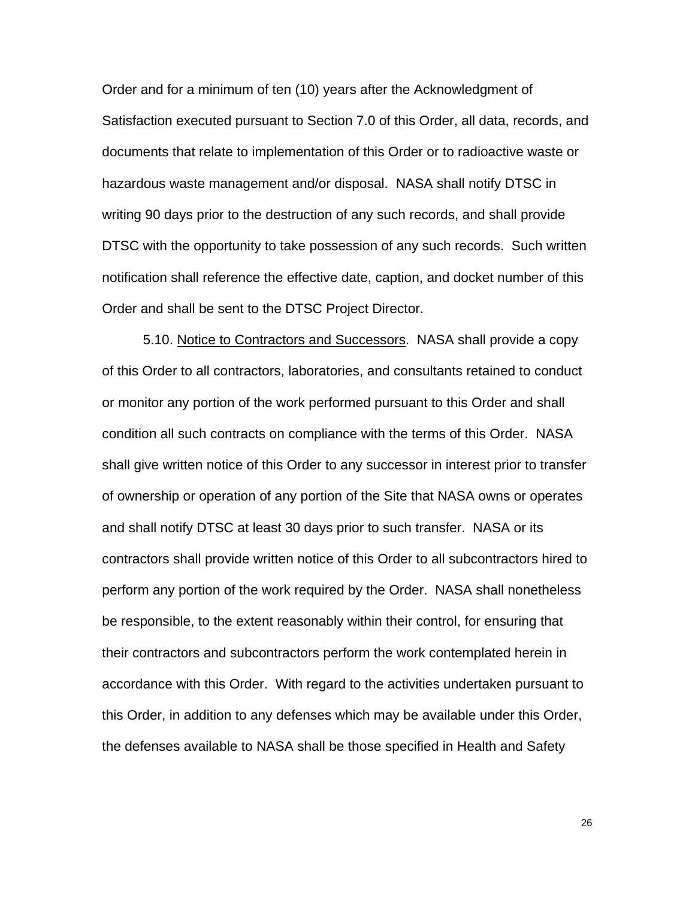Order and for a minimum of ten (10) years after the Acknowledgment of Satisfaction executed pursuant to Section 7.0 of this Order, all data, records, and documents that relate to implementation of this Order or to radioactive waste or hazardous waste management and/or disposal. NASA shall notify DTSC in writing 90 days prior to the destruction of any such records, and shall provide DTSC with the opportunity to take possession of any such records. Such written notification shall reference the effective date, caption, and docket number of this Order and shall be sent to the DTSC Project Director.

5.10. Notice to Contractors and Successors. NASA shall provide a copy of this Order to all contractors, laboratories, and consultants retained to conduct or monitor any portion of the work performed pursuant to this Order and shall condition all such contracts on compliance with the terms of this Order. NASA shall give written notice of this Order to any successor in interest prior to transfer of ownership or operation of any portion of the Site that NASA owns or operates and shall notify DTSC at least 30 days prior to such transfer. NASA or its contractors shall provide written notice of this Order to all subcontractors hired to perform any portion of the work required by the Order. NASA shall nonetheless be responsible, to the extent reasonably within their control, for ensuring that their contractors and subcontractors perform the work contemplated herein in accordance with this Order. With regard to the activities undertaken pursuant to this Order, in addition to any defenses which may be available under this Order, the defenses available to NASA shall be those specified in Health and Safety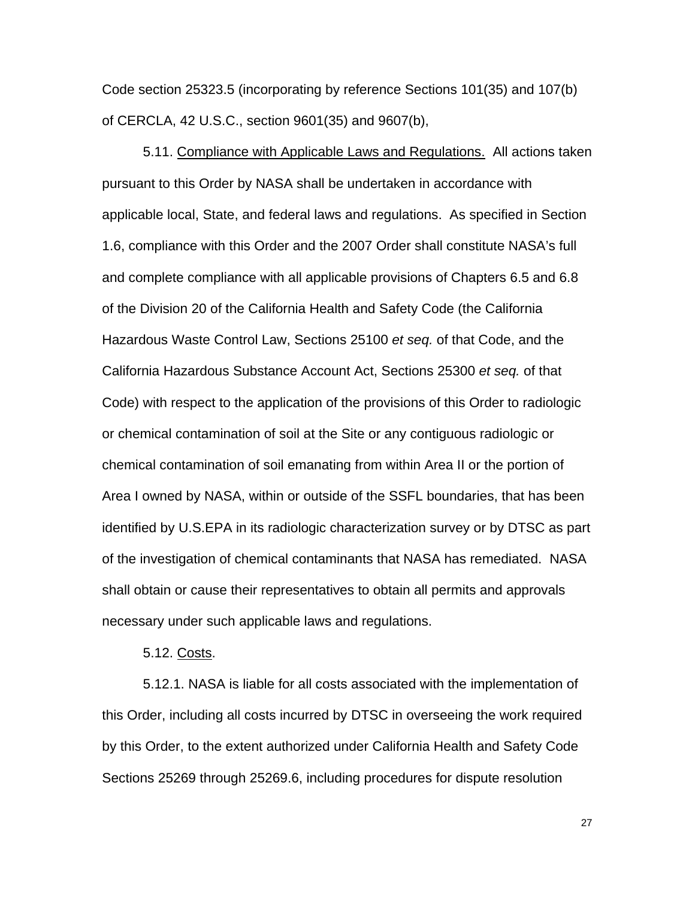Code section 25323.5 (incorporating by reference Sections 101(35) and 107(b) of CERCLA, 42 U.S.C., section 9601(35) and 9607(b),

5.11. Compliance with Applicable Laws and Regulations. All actions taken pursuant to this Order by NASA shall be undertaken in accordance with applicable local, State, and federal laws and regulations. As specified in Section 1.6, compliance with this Order and the 2007 Order shall constitute NASA's full and complete compliance with all applicable provisions of Chapters 6.5 and 6.8 of the Division 20 of the California Health and Safety Code (the California Hazardous Waste Control Law, Sections 25100 *et seq.* of that Code, and the California Hazardous Substance Account Act, Sections 25300 *et seq.* of that Code) with respect to the application of the provisions of this Order to radiologic or chemical contamination of soil at the Site or any contiguous radiologic or chemical contamination of soil emanating from within Area II or the portion of Area I owned by NASA, within or outside of the SSFL boundaries, that has been identified by U.S.EPA in its radiologic characterization survey or by DTSC as part of the investigation of chemical contaminants that NASA has remediated. NASA shall obtain or cause their representatives to obtain all permits and approvals necessary under such applicable laws and regulations.

5.12. Costs.

5.12.1. NASA is liable for all costs associated with the implementation of this Order, including all costs incurred by DTSC in overseeing the work required by this Order, to the extent authorized under California Health and Safety Code Sections 25269 through 25269.6, including procedures for dispute resolution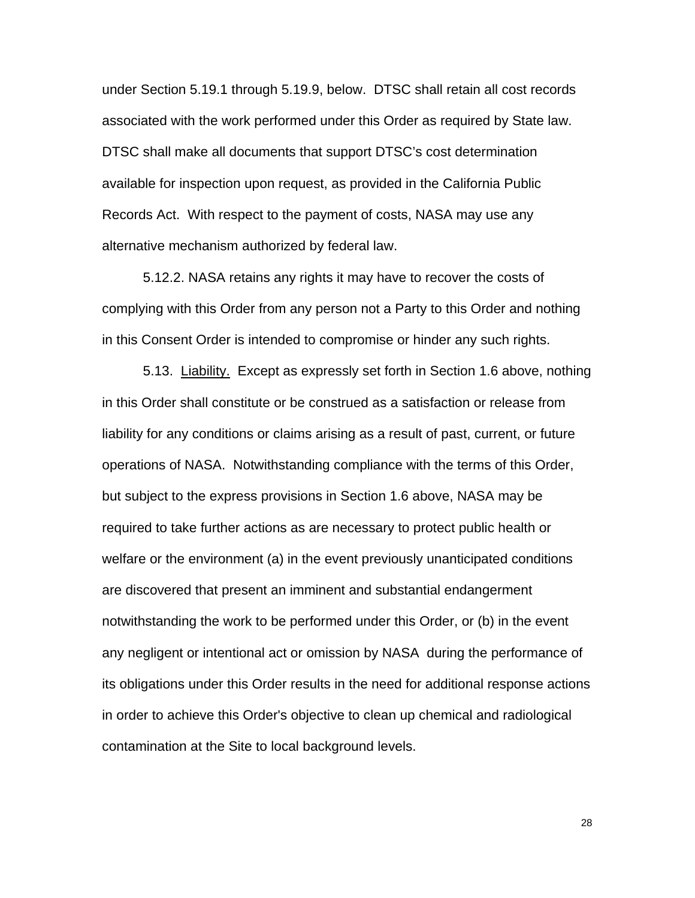under Section 5.19.1 through 5.19.9, below. DTSC shall retain all cost records associated with the work performed under this Order as required by State law. DTSC shall make all documents that support DTSC's cost determination available for inspection upon request, as provided in the California Public Records Act. With respect to the payment of costs, NASA may use any alternative mechanism authorized by federal law.

5.12.2. NASA retains any rights it may have to recover the costs of complying with this Order from any person not a Party to this Order and nothing in this Consent Order is intended to compromise or hinder any such rights.

5.13. Liability. Except as expressly set forth in Section 1.6 above, nothing in this Order shall constitute or be construed as a satisfaction or release from liability for any conditions or claims arising as a result of past, current, or future operations of NASA. Notwithstanding compliance with the terms of this Order, but subject to the express provisions in Section 1.6 above, NASA may be required to take further actions as are necessary to protect public health or welfare or the environment (a) in the event previously unanticipated conditions are discovered that present an imminent and substantial endangerment notwithstanding the work to be performed under this Order, or (b) in the event any negligent or intentional act or omission by NASA during the performance of its obligations under this Order results in the need for additional response actions in order to achieve this Order's objective to clean up chemical and radiological contamination at the Site to local background levels.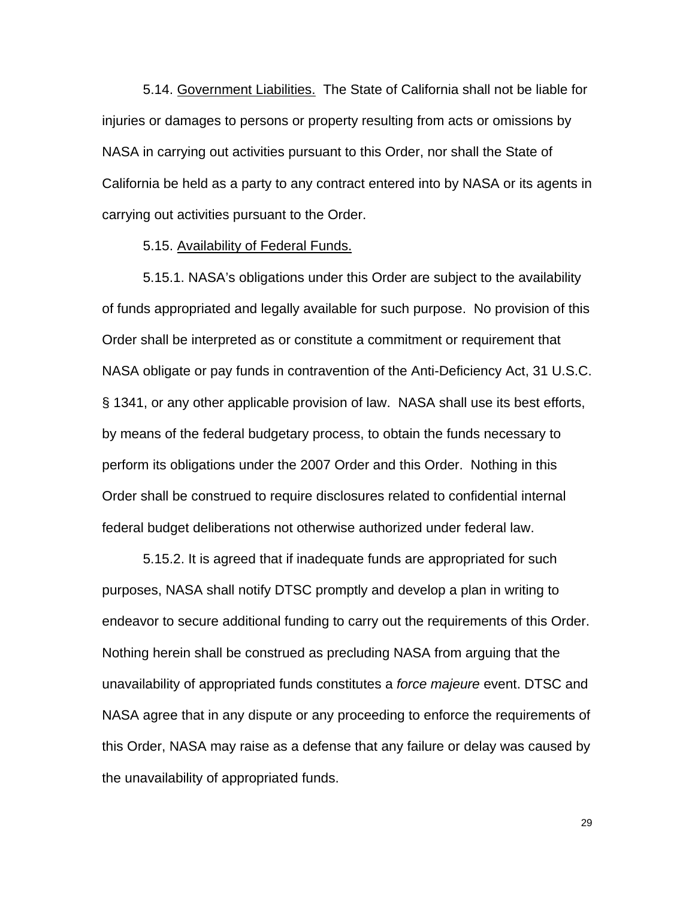5.14. Government Liabilities. The State of California shall not be liable for injuries or damages to persons or property resulting from acts or omissions by NASA in carrying out activities pursuant to this Order, nor shall the State of California be held as a party to any contract entered into by NASA or its agents in carrying out activities pursuant to the Order.

#### 5.15. Availability of Federal Funds.

5.15.1. NASA's obligations under this Order are subject to the availability of funds appropriated and legally available for such purpose. No provision of this Order shall be interpreted as or constitute a commitment or requirement that NASA obligate or pay funds in contravention of the Anti-Deficiency Act, 31 U.S.C. § 1341, or any other applicable provision of law. NASA shall use its best efforts, by means of the federal budgetary process, to obtain the funds necessary to perform its obligations under the 2007 Order and this Order. Nothing in this Order shall be construed to require disclosures related to confidential internal federal budget deliberations not otherwise authorized under federal law.

5.15.2. It is agreed that if inadequate funds are appropriated for such purposes, NASA shall notify DTSC promptly and develop a plan in writing to endeavor to secure additional funding to carry out the requirements of this Order. Nothing herein shall be construed as precluding NASA from arguing that the unavailability of appropriated funds constitutes a *force majeure* event. DTSC and NASA agree that in any dispute or any proceeding to enforce the requirements of this Order, NASA may raise as a defense that any failure or delay was caused by the unavailability of appropriated funds.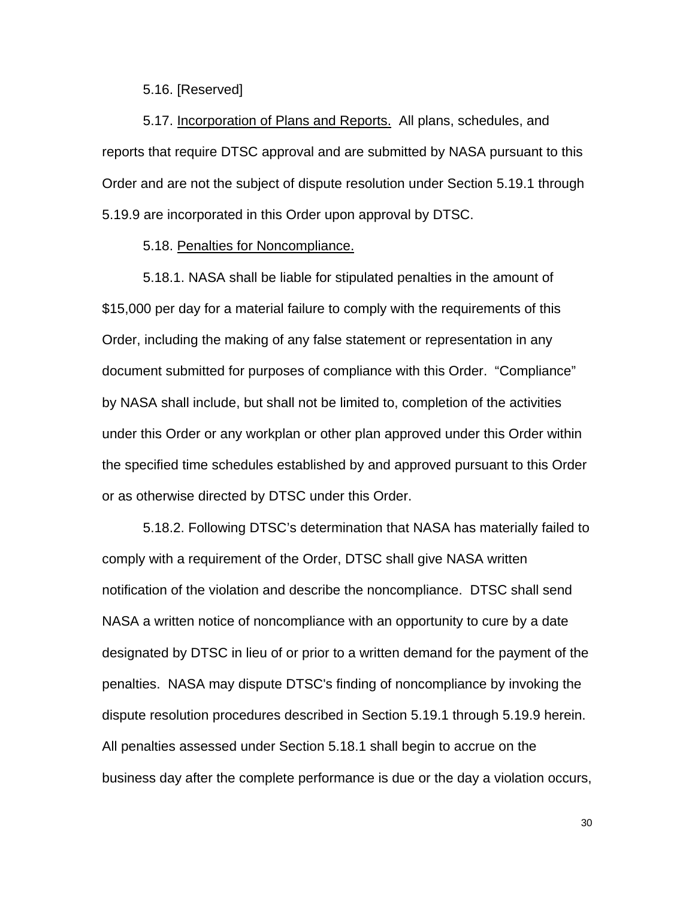#### 5.16. [Reserved]

5.17. Incorporation of Plans and Reports. All plans, schedules, and reports that require DTSC approval and are submitted by NASA pursuant to this Order and are not the subject of dispute resolution under Section 5.19.1 through 5.19.9 are incorporated in this Order upon approval by DTSC.

#### 5.18. Penalties for Noncompliance.

5.18.1. NASA shall be liable for stipulated penalties in the amount of \$15,000 per day for a material failure to comply with the requirements of this Order, including the making of any false statement or representation in any document submitted for purposes of compliance with this Order. "Compliance" by NASA shall include, but shall not be limited to, completion of the activities under this Order or any workplan or other plan approved under this Order within the specified time schedules established by and approved pursuant to this Order or as otherwise directed by DTSC under this Order.

5.18.2. Following DTSC's determination that NASA has materially failed to comply with a requirement of the Order, DTSC shall give NASA written notification of the violation and describe the noncompliance. DTSC shall send NASA a written notice of noncompliance with an opportunity to cure by a date designated by DTSC in lieu of or prior to a written demand for the payment of the penalties. NASA may dispute DTSC's finding of noncompliance by invoking the dispute resolution procedures described in Section 5.19.1 through 5.19.9 herein. All penalties assessed under Section 5.18.1 shall begin to accrue on the business day after the complete performance is due or the day a violation occurs,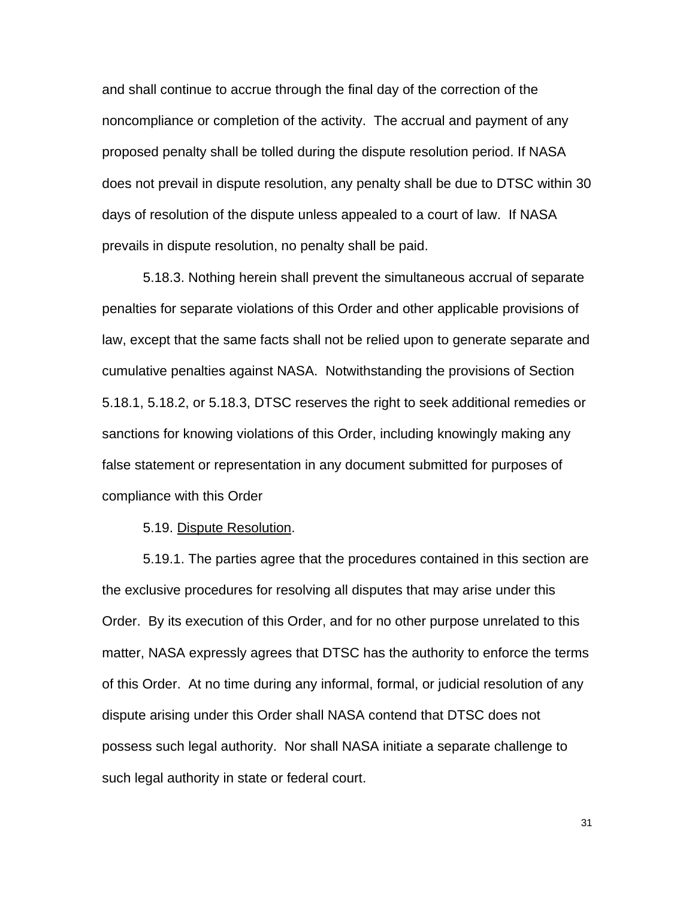and shall continue to accrue through the final day of the correction of the noncompliance or completion of the activity. The accrual and payment of any proposed penalty shall be tolled during the dispute resolution period. If NASA does not prevail in dispute resolution, any penalty shall be due to DTSC within 30 days of resolution of the dispute unless appealed to a court of law. If NASA prevails in dispute resolution, no penalty shall be paid.

5.18.3. Nothing herein shall prevent the simultaneous accrual of separate penalties for separate violations of this Order and other applicable provisions of law, except that the same facts shall not be relied upon to generate separate and cumulative penalties against NASA. Notwithstanding the provisions of Section 5.18.1, 5.18.2, or 5.18.3, DTSC reserves the right to seek additional remedies or sanctions for knowing violations of this Order, including knowingly making any false statement or representation in any document submitted for purposes of compliance with this Order

5.19. Dispute Resolution.

5.19.1. The parties agree that the procedures contained in this section are the exclusive procedures for resolving all disputes that may arise under this Order. By its execution of this Order, and for no other purpose unrelated to this matter, NASA expressly agrees that DTSC has the authority to enforce the terms of this Order. At no time during any informal, formal, or judicial resolution of any dispute arising under this Order shall NASA contend that DTSC does not possess such legal authority. Nor shall NASA initiate a separate challenge to such legal authority in state or federal court.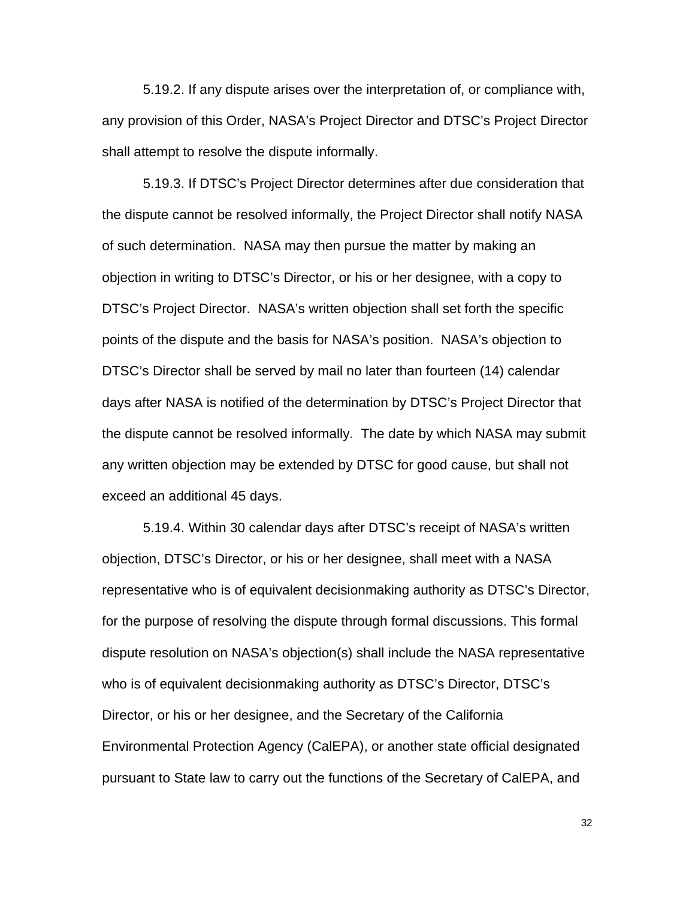5.19.2. If any dispute arises over the interpretation of, or compliance with, any provision of this Order, NASA's Project Director and DTSC's Project Director shall attempt to resolve the dispute informally.

5.19.3. If DTSC's Project Director determines after due consideration that the dispute cannot be resolved informally, the Project Director shall notify NASA of such determination. NASA may then pursue the matter by making an objection in writing to DTSC's Director, or his or her designee, with a copy to DTSC's Project Director. NASA's written objection shall set forth the specific points of the dispute and the basis for NASA's position. NASA's objection to DTSC's Director shall be served by mail no later than fourteen (14) calendar days after NASA is notified of the determination by DTSC's Project Director that the dispute cannot be resolved informally. The date by which NASA may submit any written objection may be extended by DTSC for good cause, but shall not exceed an additional 45 days.

5.19.4. Within 30 calendar days after DTSC's receipt of NASA's written objection, DTSC's Director, or his or her designee, shall meet with a NASA representative who is of equivalent decisionmaking authority as DTSC's Director, for the purpose of resolving the dispute through formal discussions. This formal dispute resolution on NASA's objection(s) shall include the NASA representative who is of equivalent decisionmaking authority as DTSC's Director, DTSC's Director, or his or her designee, and the Secretary of the California Environmental Protection Agency (CalEPA), or another state official designated pursuant to State law to carry out the functions of the Secretary of CalEPA, and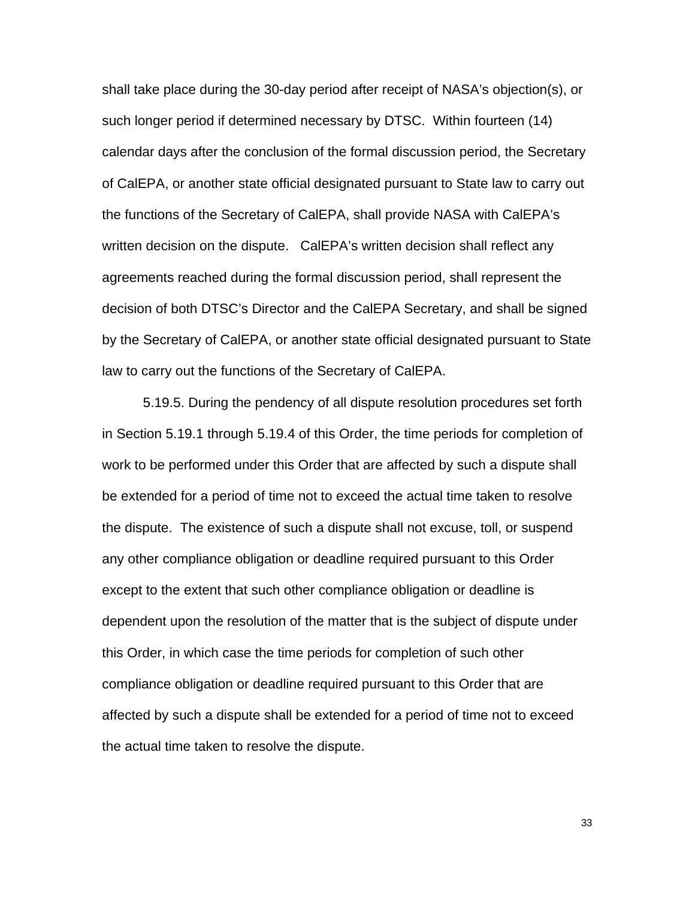shall take place during the 30-day period after receipt of NASA's objection(s), or such longer period if determined necessary by DTSC. Within fourteen (14) calendar days after the conclusion of the formal discussion period, the Secretary of CalEPA, or another state official designated pursuant to State law to carry out the functions of the Secretary of CalEPA, shall provide NASA with CalEPA's written decision on the dispute. CalEPA's written decision shall reflect any agreements reached during the formal discussion period, shall represent the decision of both DTSC's Director and the CalEPA Secretary, and shall be signed by the Secretary of CalEPA, or another state official designated pursuant to State law to carry out the functions of the Secretary of CalEPA.

5.19.5. During the pendency of all dispute resolution procedures set forth in Section 5.19.1 through 5.19.4 of this Order, the time periods for completion of work to be performed under this Order that are affected by such a dispute shall be extended for a period of time not to exceed the actual time taken to resolve the dispute. The existence of such a dispute shall not excuse, toll, or suspend any other compliance obligation or deadline required pursuant to this Order except to the extent that such other compliance obligation or deadline is dependent upon the resolution of the matter that is the subject of dispute under this Order, in which case the time periods for completion of such other compliance obligation or deadline required pursuant to this Order that are affected by such a dispute shall be extended for a period of time not to exceed the actual time taken to resolve the dispute.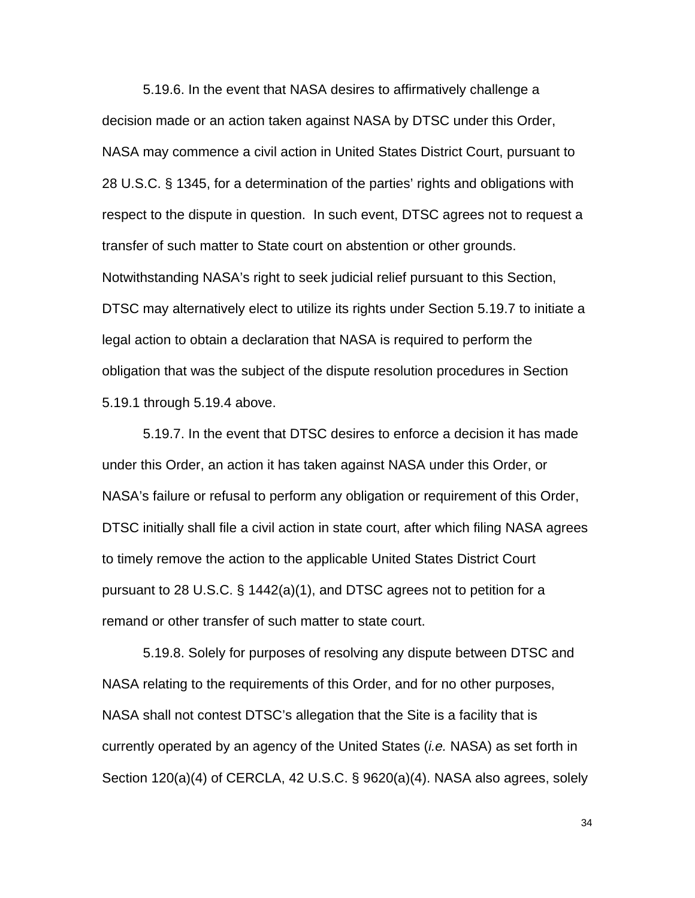5.19.6. In the event that NASA desires to affirmatively challenge a decision made or an action taken against NASA by DTSC under this Order, NASA may commence a civil action in United States District Court, pursuant to 28 U.S.C. § 1345, for a determination of the parties' rights and obligations with respect to the dispute in question. In such event, DTSC agrees not to request a transfer of such matter to State court on abstention or other grounds. Notwithstanding NASA's right to seek judicial relief pursuant to this Section, DTSC may alternatively elect to utilize its rights under Section 5.19.7 to initiate a legal action to obtain a declaration that NASA is required to perform the obligation that was the subject of the dispute resolution procedures in Section 5.19.1 through 5.19.4 above.

5.19.7. In the event that DTSC desires to enforce a decision it has made under this Order, an action it has taken against NASA under this Order, or NASA's failure or refusal to perform any obligation or requirement of this Order, DTSC initially shall file a civil action in state court, after which filing NASA agrees to timely remove the action to the applicable United States District Court pursuant to 28 U.S.C. § 1442(a)(1), and DTSC agrees not to petition for a remand or other transfer of such matter to state court.

5.19.8. Solely for purposes of resolving any dispute between DTSC and NASA relating to the requirements of this Order, and for no other purposes, NASA shall not contest DTSC's allegation that the Site is a facility that is currently operated by an agency of the United States (*i.e.* NASA) as set forth in Section 120(a)(4) of CERCLA, 42 U.S.C. § 9620(a)(4). NASA also agrees, solely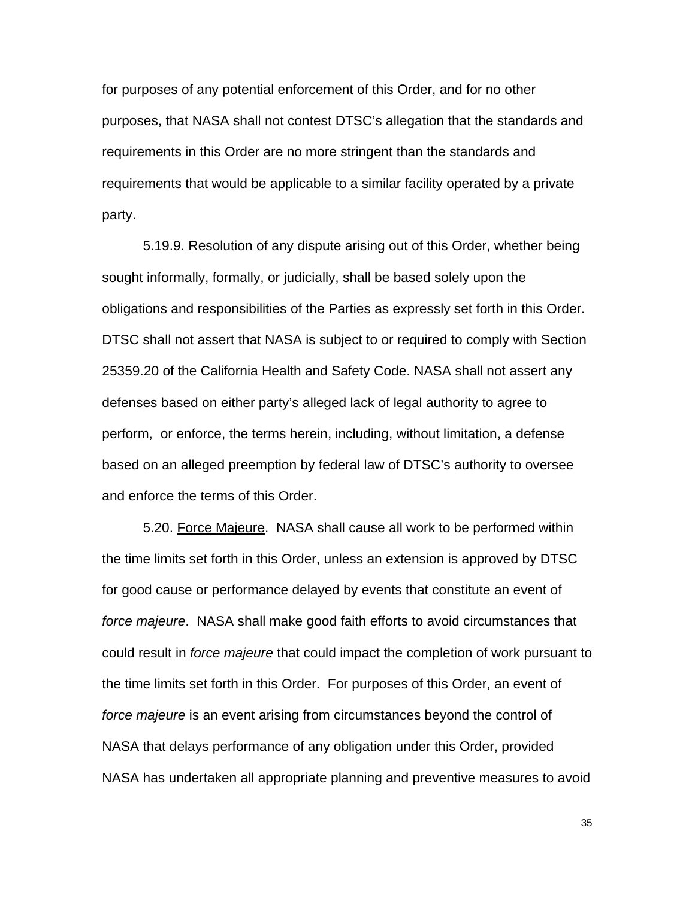for purposes of any potential enforcement of this Order, and for no other purposes, that NASA shall not contest DTSC's allegation that the standards and requirements in this Order are no more stringent than the standards and requirements that would be applicable to a similar facility operated by a private party.

5.19.9. Resolution of any dispute arising out of this Order, whether being sought informally, formally, or judicially, shall be based solely upon the obligations and responsibilities of the Parties as expressly set forth in this Order. DTSC shall not assert that NASA is subject to or required to comply with Section 25359.20 of the California Health and Safety Code. NASA shall not assert any defenses based on either party's alleged lack of legal authority to agree to perform, or enforce, the terms herein, including, without limitation, a defense based on an alleged preemption by federal law of DTSC's authority to oversee and enforce the terms of this Order.

5.20. Force Majeure. NASA shall cause all work to be performed within the time limits set forth in this Order, unless an extension is approved by DTSC for good cause or performance delayed by events that constitute an event of *force majeure*. NASA shall make good faith efforts to avoid circumstances that could result in *force majeure* that could impact the completion of work pursuant to the time limits set forth in this Order. For purposes of this Order, an event of *force majeure* is an event arising from circumstances beyond the control of NASA that delays performance of any obligation under this Order, provided NASA has undertaken all appropriate planning and preventive measures to avoid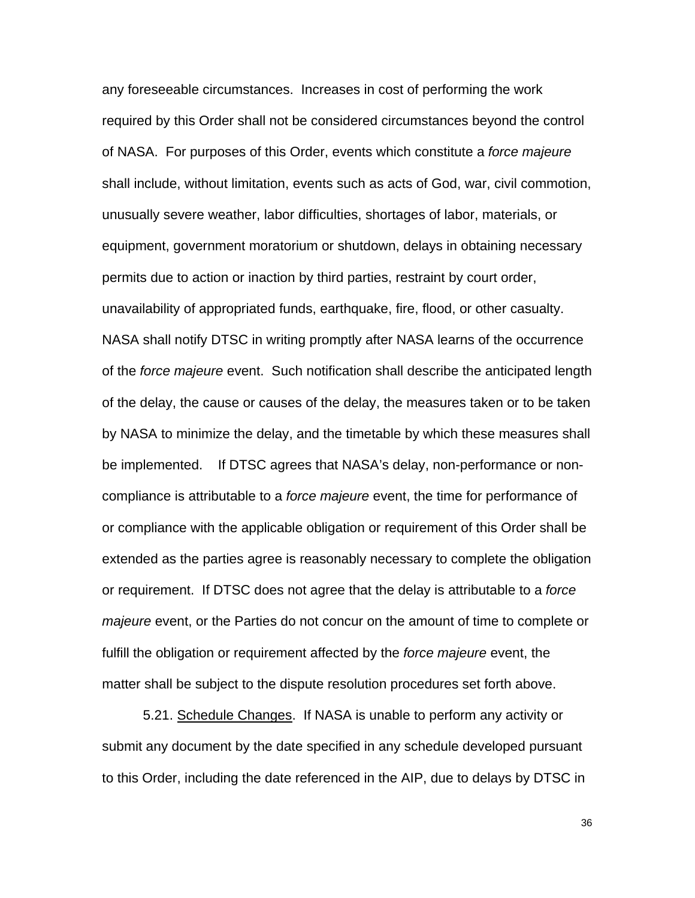any foreseeable circumstances. Increases in cost of performing the work required by this Order shall not be considered circumstances beyond the control of NASA. For purposes of this Order, events which constitute a *force majeure*  shall include, without limitation, events such as acts of God, war, civil commotion, unusually severe weather, labor difficulties, shortages of labor, materials, or equipment, government moratorium or shutdown, delays in obtaining necessary permits due to action or inaction by third parties, restraint by court order, unavailability of appropriated funds, earthquake, fire, flood, or other casualty. NASA shall notify DTSC in writing promptly after NASA learns of the occurrence of the *force majeure* event. Such notification shall describe the anticipated length of the delay, the cause or causes of the delay, the measures taken or to be taken by NASA to minimize the delay, and the timetable by which these measures shall be implemented. If DTSC agrees that NASA's delay, non-performance or noncompliance is attributable to a *force majeure* event, the time for performance of or compliance with the applicable obligation or requirement of this Order shall be extended as the parties agree is reasonably necessary to complete the obligation or requirement. If DTSC does not agree that the delay is attributable to a *force majeure* event, or the Parties do not concur on the amount of time to complete or fulfill the obligation or requirement affected by the *force majeure* event, the matter shall be subject to the dispute resolution procedures set forth above.

5.21. Schedule Changes. If NASA is unable to perform any activity or submit any document by the date specified in any schedule developed pursuant to this Order, including the date referenced in the AIP, due to delays by DTSC in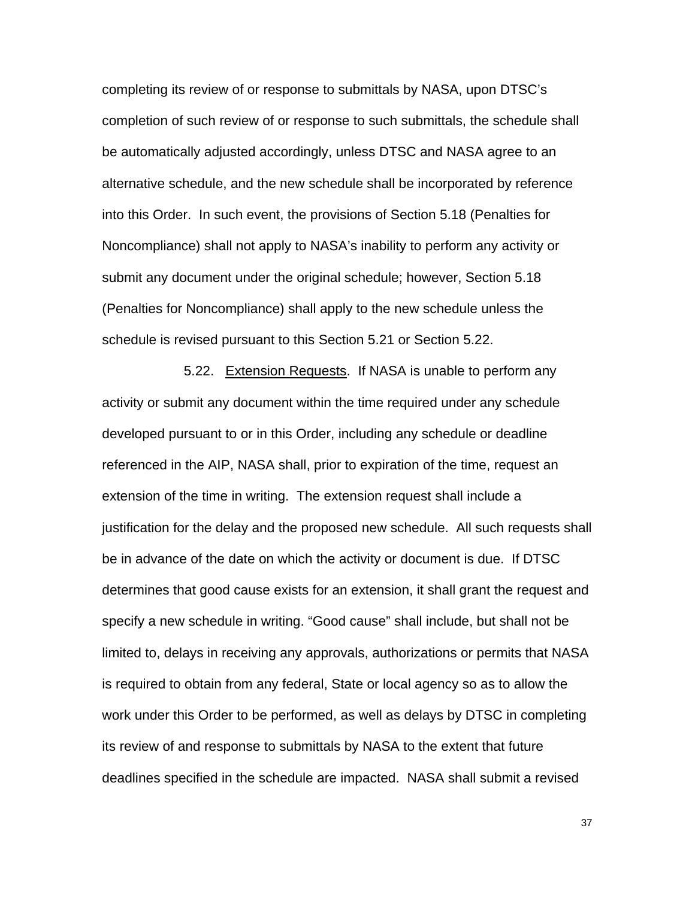completing its review of or response to submittals by NASA, upon DTSC's completion of such review of or response to such submittals, the schedule shall be automatically adjusted accordingly, unless DTSC and NASA agree to an alternative schedule, and the new schedule shall be incorporated by reference into this Order. In such event, the provisions of Section 5.18 (Penalties for Noncompliance) shall not apply to NASA's inability to perform any activity or submit any document under the original schedule; however, Section 5.18 (Penalties for Noncompliance) shall apply to the new schedule unless the schedule is revised pursuant to this Section 5.21 or Section 5.22.

 5.22. Extension Requests. If NASA is unable to perform any activity or submit any document within the time required under any schedule developed pursuant to or in this Order, including any schedule or deadline referenced in the AIP, NASA shall, prior to expiration of the time, request an extension of the time in writing. The extension request shall include a justification for the delay and the proposed new schedule. All such requests shall be in advance of the date on which the activity or document is due. If DTSC determines that good cause exists for an extension, it shall grant the request and specify a new schedule in writing. "Good cause" shall include, but shall not be limited to, delays in receiving any approvals, authorizations or permits that NASA is required to obtain from any federal, State or local agency so as to allow the work under this Order to be performed, as well as delays by DTSC in completing its review of and response to submittals by NASA to the extent that future deadlines specified in the schedule are impacted. NASA shall submit a revised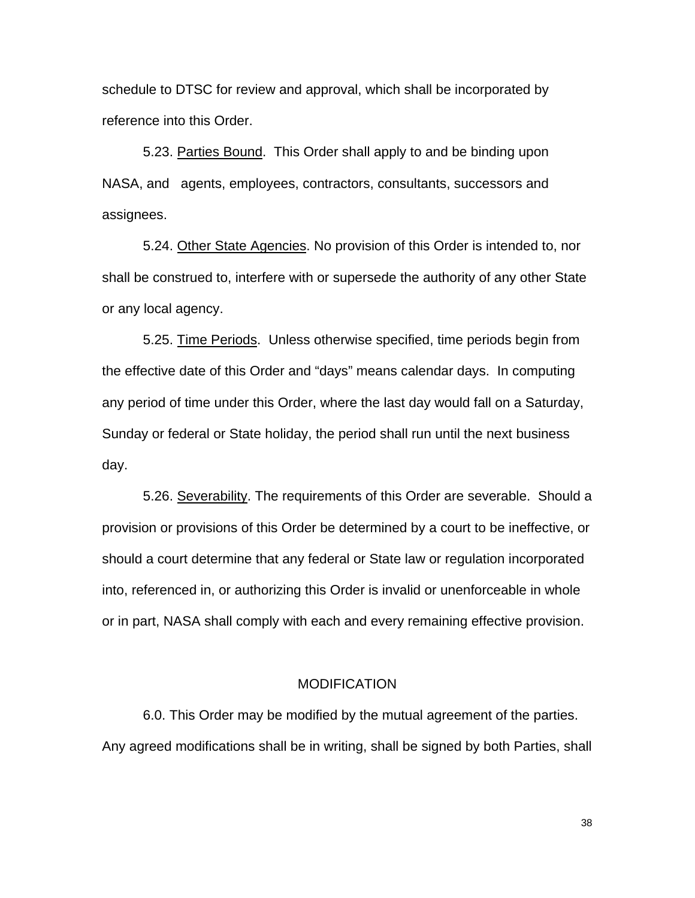schedule to DTSC for review and approval, which shall be incorporated by reference into this Order.

5.23. Parties Bound. This Order shall apply to and be binding upon NASA, and agents, employees, contractors, consultants, successors and assignees.

5.24. Other State Agencies. No provision of this Order is intended to, nor shall be construed to, interfere with or supersede the authority of any other State or any local agency.

5.25. Time Periods. Unless otherwise specified, time periods begin from the effective date of this Order and "days" means calendar days. In computing any period of time under this Order, where the last day would fall on a Saturday, Sunday or federal or State holiday, the period shall run until the next business day.

5.26. Severability. The requirements of this Order are severable. Should a provision or provisions of this Order be determined by a court to be ineffective, or should a court determine that any federal or State law or regulation incorporated into, referenced in, or authorizing this Order is invalid or unenforceable in whole or in part, NASA shall comply with each and every remaining effective provision.

#### **MODIFICATION**

6.0. This Order may be modified by the mutual agreement of the parties. Any agreed modifications shall be in writing, shall be signed by both Parties, shall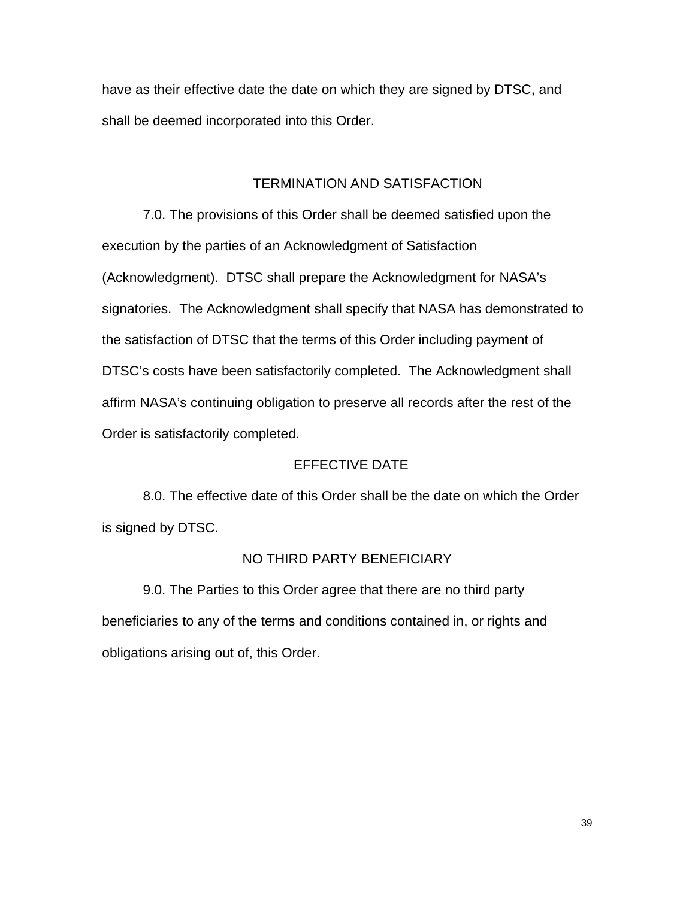have as their effective date the date on which they are signed by DTSC, and shall be deemed incorporated into this Order.

### TERMINATION AND SATISFACTION

7.0. The provisions of this Order shall be deemed satisfied upon the execution by the parties of an Acknowledgment of Satisfaction (Acknowledgment). DTSC shall prepare the Acknowledgment for NASA's signatories. The Acknowledgment shall specify that NASA has demonstrated to the satisfaction of DTSC that the terms of this Order including payment of DTSC's costs have been satisfactorily completed. The Acknowledgment shall affirm NASA's continuing obligation to preserve all records after the rest of the Order is satisfactorily completed.

### EFFECTIVE DATE

8.0. The effective date of this Order shall be the date on which the Order is signed by DTSC.

#### NO THIRD PARTY BENEFICIARY

9.0. The Parties to this Order agree that there are no third party beneficiaries to any of the terms and conditions contained in, or rights and obligations arising out of, this Order.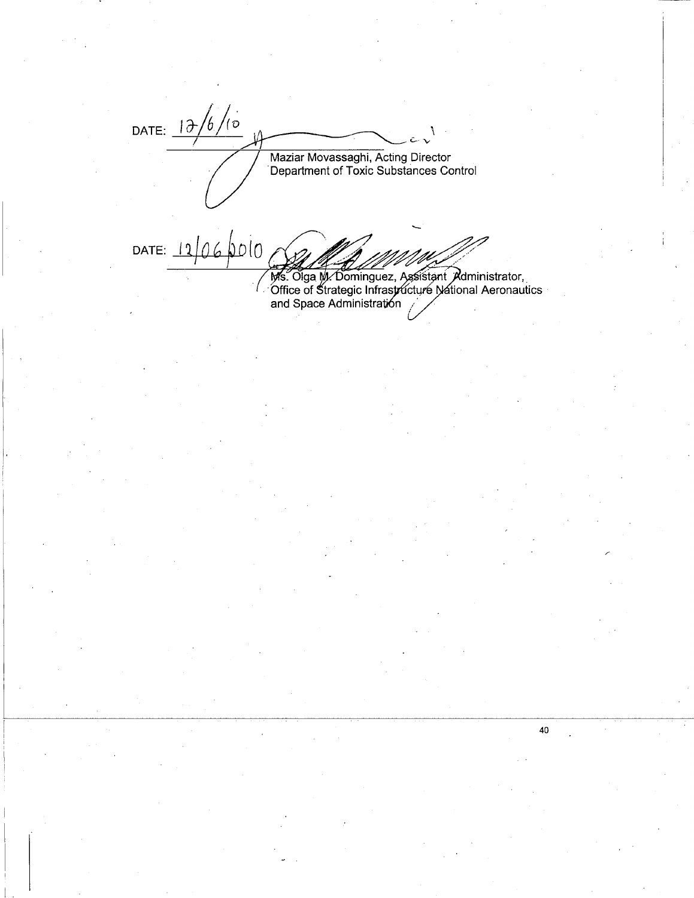DATE:  $\frac{1}{\frac{\partial}{\partial}}\frac{1}{\frac{\partial}{\partial}}$ Maziar Movassaghi, Acting Director Department of Toxic Substances Control

DATE:  $12/06/00$ 

Ms. Olga M. Dominguez, Assistant Administrator,<br>Office of Strategic Infrastructure National Aeronautics<br>and Space Administration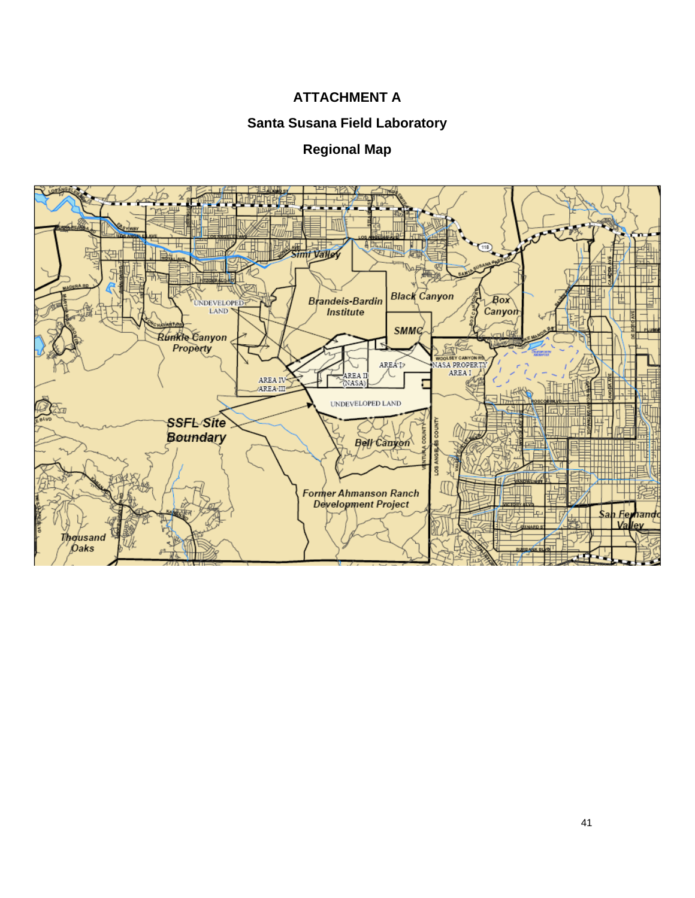## **ATTACHMENT A**

### **Santa Susana Field Laboratory**

# **Regional Map**

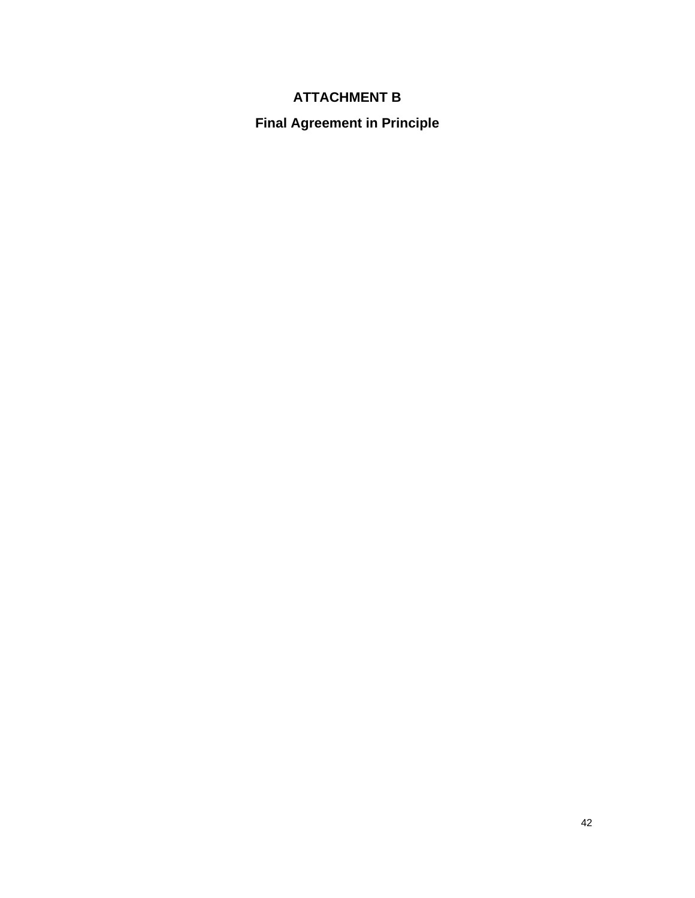# **ATTACHMENT B**

**Final Agreement in Principle**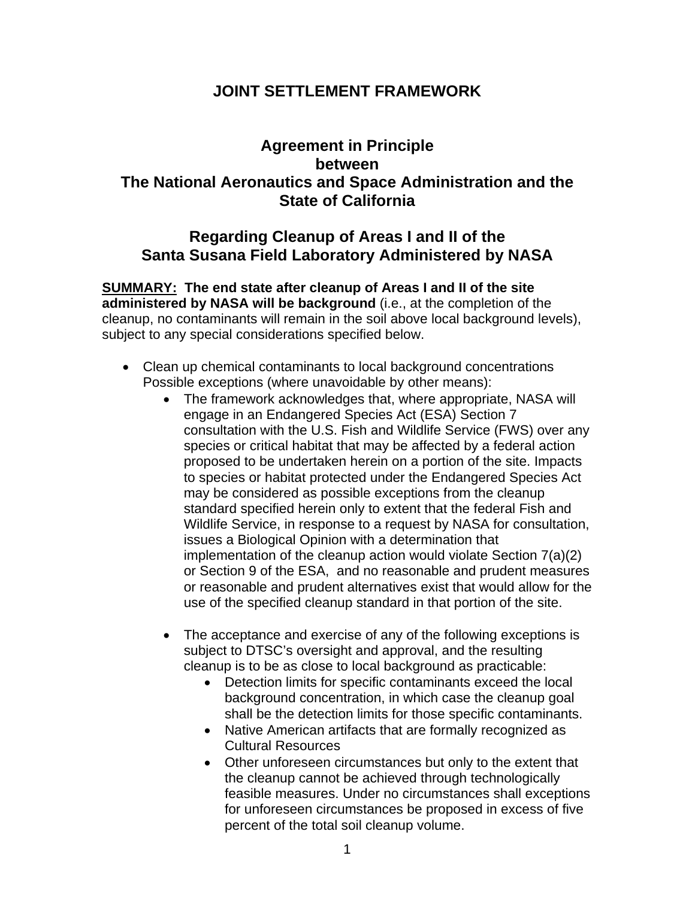# **JOINT SETTLEMENT FRAMEWORK**

# **Agreement in Principle between The National Aeronautics and Space Administration and the State of California**

# **Regarding Cleanup of Areas I and II of the Santa Susana Field Laboratory Administered by NASA**

**SUMMARY: The end state after cleanup of Areas I and II of the site administered by NASA will be background** (i.e., at the completion of the cleanup, no contaminants will remain in the soil above local background levels), subject to any special considerations specified below.

- Clean up chemical contaminants to local background concentrations Possible exceptions (where unavoidable by other means):
	- The framework acknowledges that, where appropriate, NASA will engage in an Endangered Species Act (ESA) Section 7 consultation with the U.S. Fish and Wildlife Service (FWS) over any species or critical habitat that may be affected by a federal action proposed to be undertaken herein on a portion of the site. Impacts to species or habitat protected under the Endangered Species Act may be considered as possible exceptions from the cleanup standard specified herein only to extent that the federal Fish and Wildlife Service, in response to a request by NASA for consultation, issues a Biological Opinion with a determination that implementation of the cleanup action would violate Section 7(a)(2) or Section 9 of the ESA, and no reasonable and prudent measures or reasonable and prudent alternatives exist that would allow for the use of the specified cleanup standard in that portion of the site.
	- The acceptance and exercise of any of the following exceptions is subject to DTSC's oversight and approval, and the resulting cleanup is to be as close to local background as practicable:
		- Detection limits for specific contaminants exceed the local background concentration, in which case the cleanup goal shall be the detection limits for those specific contaminants.
		- Native American artifacts that are formally recognized as Cultural Resources
		- Other unforeseen circumstances but only to the extent that the cleanup cannot be achieved through technologically feasible measures. Under no circumstances shall exceptions for unforeseen circumstances be proposed in excess of five percent of the total soil cleanup volume.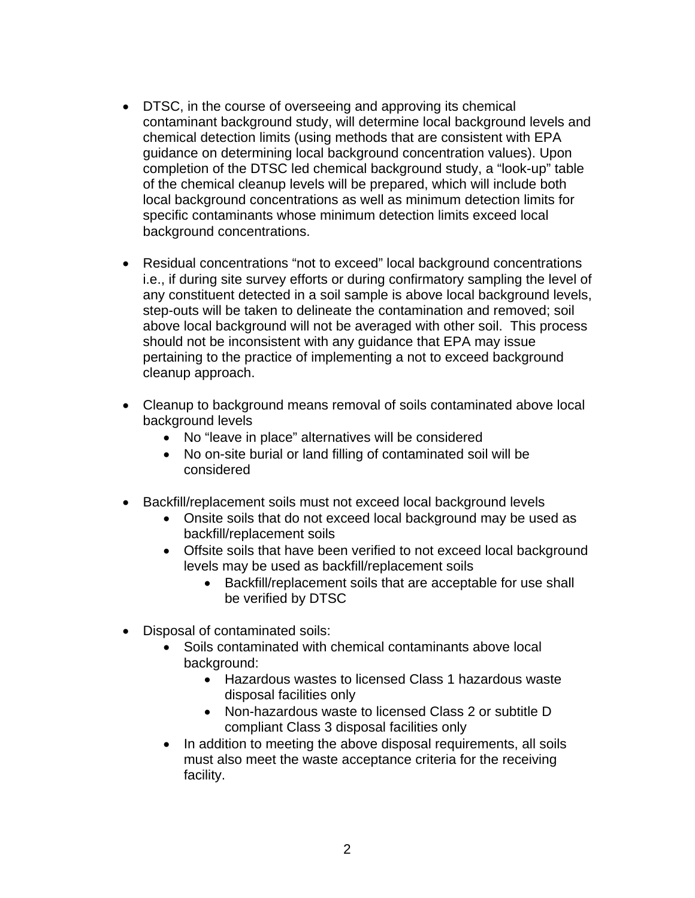- DTSC, in the course of overseeing and approving its chemical contaminant background study, will determine local background levels and chemical detection limits (using methods that are consistent with EPA guidance on determining local background concentration values). Upon completion of the DTSC led chemical background study, a "look-up" table of the chemical cleanup levels will be prepared, which will include both local background concentrations as well as minimum detection limits for specific contaminants whose minimum detection limits exceed local background concentrations.
- Residual concentrations "not to exceed" local background concentrations i.e., if during site survey efforts or during confirmatory sampling the level of any constituent detected in a soil sample is above local background levels, step-outs will be taken to delineate the contamination and removed; soil above local background will not be averaged with other soil. This process should not be inconsistent with any guidance that EPA may issue pertaining to the practice of implementing a not to exceed background cleanup approach.
- Cleanup to background means removal of soils contaminated above local background levels
	- No "leave in place" alternatives will be considered
	- No on-site burial or land filling of contaminated soil will be considered
- Backfill/replacement soils must not exceed local background levels
	- Onsite soils that do not exceed local background may be used as backfill/replacement soils
	- Offsite soils that have been verified to not exceed local background levels may be used as backfill/replacement soils
		- Backfill/replacement soils that are acceptable for use shall be verified by DTSC
- Disposal of contaminated soils:
	- Soils contaminated with chemical contaminants above local background:
		- Hazardous wastes to licensed Class 1 hazardous waste disposal facilities only
		- Non-hazardous waste to licensed Class 2 or subtitle D compliant Class 3 disposal facilities only
	- In addition to meeting the above disposal requirements, all soils must also meet the waste acceptance criteria for the receiving facility.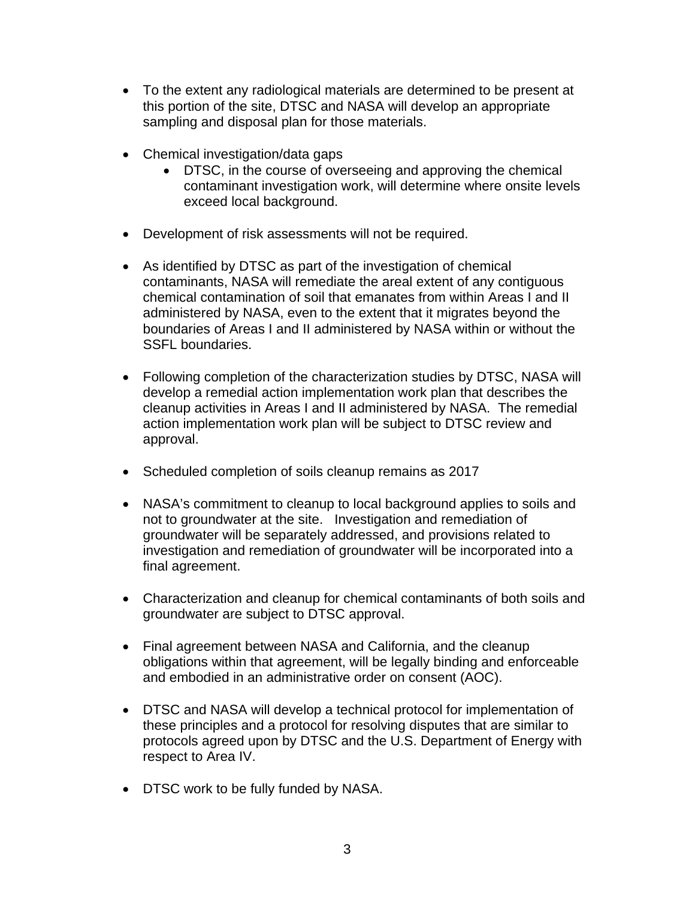- To the extent any radiological materials are determined to be present at this portion of the site, DTSC and NASA will develop an appropriate sampling and disposal plan for those materials.
- Chemical investigation/data gaps
	- DTSC, in the course of overseeing and approving the chemical contaminant investigation work, will determine where onsite levels exceed local background.
- Development of risk assessments will not be required.
- As identified by DTSC as part of the investigation of chemical contaminants, NASA will remediate the areal extent of any contiguous chemical contamination of soil that emanates from within Areas I and II administered by NASA, even to the extent that it migrates beyond the boundaries of Areas I and II administered by NASA within or without the SSFL boundaries.
- Following completion of the characterization studies by DTSC, NASA will develop a remedial action implementation work plan that describes the cleanup activities in Areas I and II administered by NASA. The remedial action implementation work plan will be subject to DTSC review and approval.
- Scheduled completion of soils cleanup remains as 2017
- NASA's commitment to cleanup to local background applies to soils and not to groundwater at the site. Investigation and remediation of groundwater will be separately addressed, and provisions related to investigation and remediation of groundwater will be incorporated into a final agreement.
- Characterization and cleanup for chemical contaminants of both soils and groundwater are subject to DTSC approval.
- Final agreement between NASA and California, and the cleanup obligations within that agreement, will be legally binding and enforceable and embodied in an administrative order on consent (AOC).
- DTSC and NASA will develop a technical protocol for implementation of these principles and a protocol for resolving disputes that are similar to protocols agreed upon by DTSC and the U.S. Department of Energy with respect to Area IV.
- DTSC work to be fully funded by NASA.